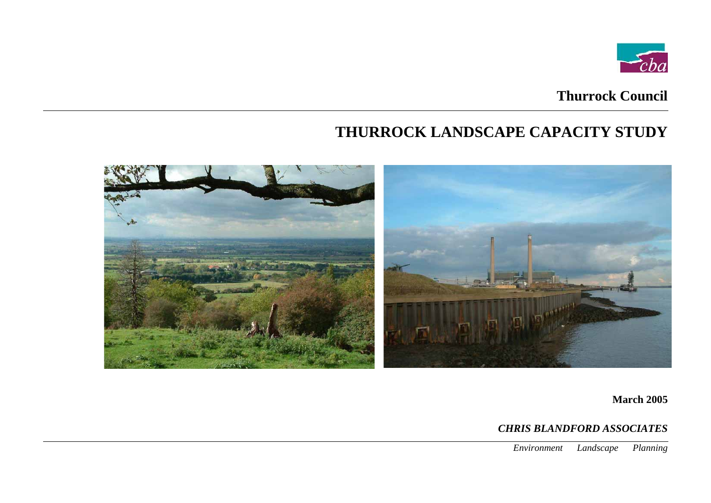# **Thurrock Council**

# **THURROCK LANDSCAPE CAPACITY STUDY**



**March 2005** 

# *CHRIS BLANDFORD ASSOCIATES*

*Environment Landscape Planning*

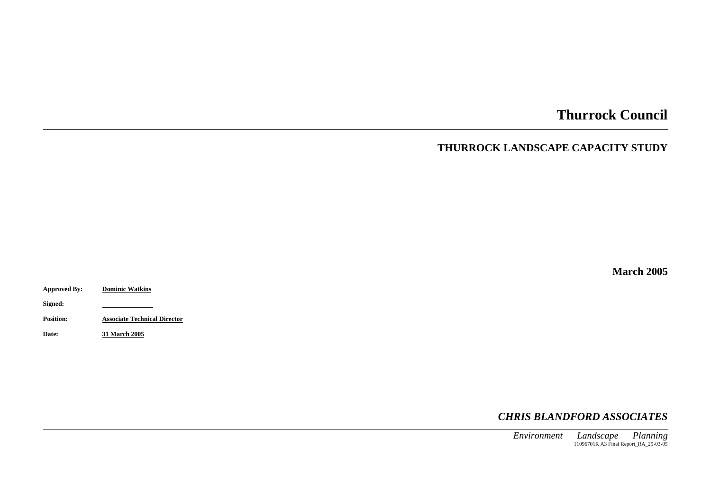# **Thurrock Council**

# **THURROCK LANDSCAPE CAPACITY STUDY**

**March 2005** 

**Approved By: Dominic Watkins**

**Signed:**

**Position: Associate Technical Director**

**Date: 31 March 2005**

*CHRIS BLANDFORD ASSOCIATES*

*Environment Landscape Planning* 11096701R A3 Final Report\_RA\_29-03-05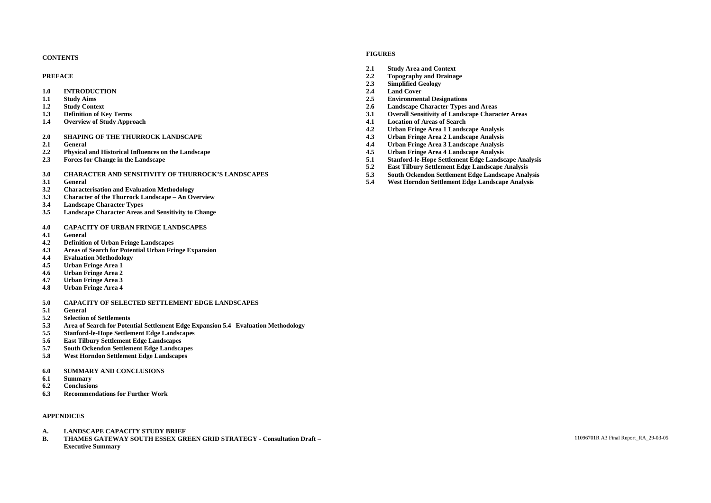# **FIGURES CONTENTS**

- **2.1 Study Area and Context**
- **PREFACE 2.2 Topography and Drainage**
	- **2.3 Simplified Geology**
	-
- **1.1 Study Aims 2.5 Environmental Designations**
- **1.2 Study Context 2.6 Landscape Character Types and Areas**
- **1.3 Definition of Key Terms 3.1 Overall Sensitivity of Landscape Character Areas**
- **1.4 Overview of Study Approach 4.1 Location of Areas of Search**
	- **4.2 Urban Fringe Area 1 Landscape Analysis**
	-
- **2.1 General 4.4 Urban Fringe Area 3 Landscape Analysis**
	-
- **2.3 Forces for Change in the Landscape 5.1 Stanford-le-Hope Settlement Edge Landscape Analysis**
	- **5.2 East Tilbury Settlement Edge Landscape Analysis**
	-
- **3.1 General 5.4 West Horndon Settlement Edge Landscape Analysis**

- **1.0 INTRODUCTION 2.4 Land Cover**
- 
- 
- 
- 
- **2.0 SHAPING OF THE THURROCK LANDSCAPE 4.3 Urban Fringe Area 2 Landscape Analysis**
- 
- **2.2 Physical and Historical Influences on the Landscape 4.5 Urban Fringe Area 4 Landscape Analysis**
- 
- **3.0 CHARACTER AND SENSITIVITY OF THURROCK'S LANDSCAPES 5.3 South Ockendon Settlement Edge Landscape Analysis**
- 
- **3.2 Characterisation and Evaluation Methodology**
- **3.3 Character of the Thurrock Landscape An Overview**
- **3.4 Landscape Character Types**
- **3.5 Landscape Character Areas and Sensitivity to Change**
- **4.0 CAPACITY OF URBAN FRINGE LANDSCAPES**
- **4.1 General**
- **4.2 Definition of Urban Fringe Landscapes**
- **4.3 Areas of Search for Potential Urban Fringe Expansion**
- **4.4 Evaluation Methodology**
- **4.5 Urban Fringe Area 1**
- **4.6 Urban Fringe Area 2**
- **4.7 Urban Fringe Area 3**
- **4.8 Urban Fringe Area 4**

# **5.0 CAPACITY OF SELECTED SETTLEMENT EDGE LANDSCAPES**

- **5.1 General**
- **5.2 Selection of Settlements**
- **5.3 Area of Search for Potential Settlement Edge Expansion 5.4 Evaluation Methodology**
- **5.5 Stanford-le-Hope Settlement Edge Landscapes**
- **5.6 East Tilbury Settlement Edge Landscapes**
- **5.7 South Ockendon Settlement Edge Landscapes**
- **5.8 West Horndon Settlement Edge Landscapes**
- **6.0 SUMMARY AND CONCLUSIONS**
- **6.1 Summary**
- **6.2 Conclusions**
- **6.3 Recommendations for Further Work**

# **APPENDICES**

- **A. LANDSCAPE CAPACITY STUDY BRIEF**
- **B. THAMES GATEWAY SOUTH ESSEX GREEN GRID STRATEGY Consultation Draft –** 11096701R A3 Final Report\_RA\_29-03-05 **Executive Summary**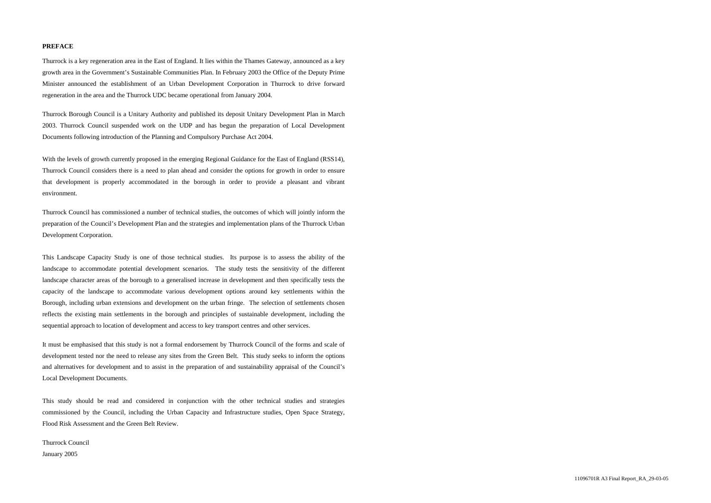# **PREFACE**

Thurrock is a key regeneration area in the East of England. It lies within the Thames Gateway, announced as a key growth area in the Government's Sustainable Communities Plan. In February 2003 the Office of the Deputy Prime Minister announced the establishment of an Urban Development Corporation in Thurrock to drive forward regeneration in the area and the Thurrock UDC became operational from January 2004.

Thurrock Borough Council is a Unitary Authority and published its deposit Unitary Development Plan in March 2003. Thurrock Council suspended work on the UDP and has begun the preparation of Local Development Documents following introduction of the Planning and Compulsory Purchase Act 2004.

With the levels of growth currently proposed in the emerging Regional Guidance for the East of England (RSS14), Thurrock Council considers there is a need to plan ahead and consider the options for growth in order to ensure that development is properly accommodated in the borough in order to provide a pleasant and vibrant environment.

Thurrock Council has commissioned a number of technical studies, the outcomes of which will jointly inform the preparation of the Council's Development Plan and the strategies and implementation plans of the Thurrock Urban Development Corporation.

This Landscape Capacity Study is one of those technical studies. Its purpose is to assess the ability of the landscape to accommodate potential development scenarios. The study tests the sensitivity of the different landscape character areas of the borough to a generalised increase in development and then specifically tests the capacity of the landscape to accommodate various development options around key settlements within the Borough, including urban extensions and development on the urban fringe. The selection of settlements chosen reflects the existing main settlements in the borough and principles of sustainable development, including the sequential approach to location of development and access to key transport centres and other services.

It must be emphasised that this study is not a formal endorsement by Thurrock Council of the forms and scale of development tested nor the need to release any sites from the Green Belt. This study seeks to inform the options and alternatives for development and to assist in the preparation of and sustainability appraisal of the Council's Local Development Documents.

This study should be read and considered in conjunction with the other technical studies and strategies commissioned by the Council, including the Urban Capacity and Infrastructure studies, Open Space Strategy, Flood Risk Assessment and the Green Belt Review.

Thurrock Council January 2005

11096701R A3 Final Report\_RA\_29-03-05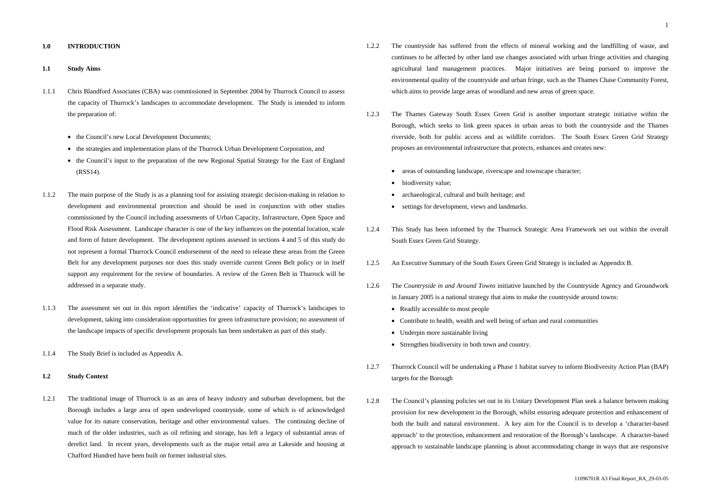#### **1.0 INTRODUCTION**

#### **1.1 Study Aims**

- 1.1.1 Chris Blandford Associates (CBA) was commissioned in September 2004 by Thurrock Council to assess the capacity of Thurrock's landscapes to accommodate development. The Study is intended to inform the preparation of:
	- the Council's new Local Development Documents;
	- the strategies and implementation plans of the Thurrock Urban Development Corporation, and
	- the Council's input to the preparation of the new Regional Spatial Strategy for the East of England (RSS14).
- 1.1.2 The main purpose of the Study is as a planning tool for assisting strategic decision-making in relation to development and environmental protection and should be used in conjunction with other studies commissioned by the Council including assessments of Urban Capacity, Infrastructure, Open Space and Flood Risk Assessment. Landscape character is one of the key influences on the potential location, scale and form of future development. The development options assessed in sections 4 and 5 of this study do not represent a formal Thurrock Council endorsement of the need to release these areas from the Green Belt for any development purposes nor does this study override current Green Belt policy or in itself support any requirement for the review of boundaries. A review of the Green Belt in Thurrock will be addressed in a separate study.
- 1.1.3 The assessment set out in this report identifies the 'indicative' capacity of Thurrock's landscapes to development, taking into consideration opportunities for green infrastructure provision; no assessment of the landscape impacts of specific development proposals has been undertaken as part of this study.
- 1.1.4 The Study Brief is included as Appendix A.

#### **1.2 Study Context**

1.2.1 The traditional image of Thurrock is as an area of heavy industry and suburban development, but the Borough includes a large area of open undeveloped countryside, some of which is of acknowledged value for its nature conservation, heritage and other environmental values. The continuing decline of much of the older industries, such as oil refining and storage, has left a legacy of substantial areas of derelict land. In recent years, developments such as the major retail area at Lakeside and housing at Chafford Hundred have been built on former industrial sites.

- 1.2.2 The countryside has suffered from the effects of mineral working and the landfilling of waste, and continues to be affected by other land use changes associated with urban fringe activities and changing agricultural land management practices. Major initiatives are being pursued to improve the environmental quality of the countryside and urban fringe, such as the Thames Chase Community Forest, which aims to provide large areas of woodland and new areas of green space.
- 1.2.3 The Thames Gateway South Essex Green Grid is another important strategic initiative within the Borough, which seeks to link green spaces in urban areas to both the countryside and the Thames riverside, both for public access and as wildlife corridors. The South Essex Green Grid Strategy proposes an environmental infrastructure that protects, enhances and creates new:
	- areas of outstanding landscape, riverscape and townscape character;
	- biodiversity value;
	- archaeological, cultural and built heritage; and
	- settings for development, views and landmarks.
- 1.2.4 This Study has been informed by the Thurrock Strategic Area Framework set out within the overall South Essex Green Grid Strategy.
- 1.2.5 An Executive Summary of the South Essex Green Grid Strategy is included as Appendix B.
- 1.2.6 The *Countryside in and Around Towns* initiative launched by the Countryside Agency and Groundwork in January 2005 is a national strategy that aims to make the countryside around towns:
	- Readily accessible to most people
	- Contribute to health, wealth and well being of urban and rural communities
	- Underpin more sustainable living
	- Strengthen biodiversity in both town and country.
- 1.2.7 Thurrock Council will be undertaking a Phase 1 habitat survey to inform Biodiversity Action Plan (BAP) targets for the Borough
- 1.2.8 The Council's planning policies set out in its Unitary Development Plan seek a balance between making provision for new development in the Borough, whilst ensuring adequate protection and enhancement of both the built and natural environment. A key aim for the Council is to develop a 'character-based approach' to the protection, enhancement and restoration of the Borough's landscape. A character-based approach to sustainable landscape planning is about accommodating change in ways that are responsive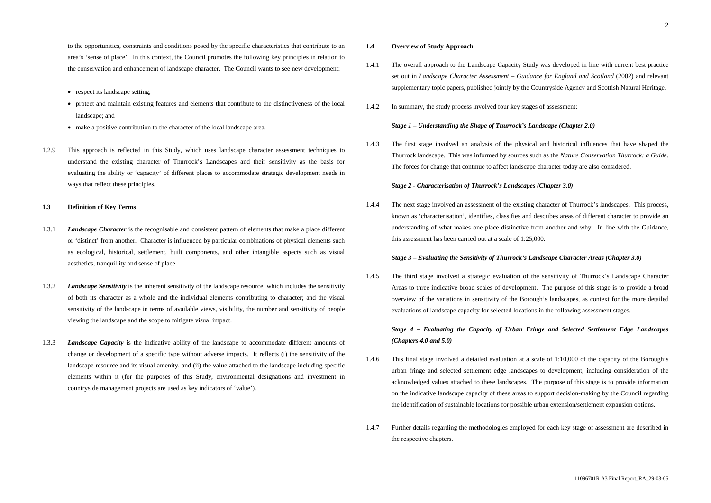to the opportunities, constraints and conditions posed by the specific characteristics that contribute to an area's 'sense of place'. In this context, the Council promotes the following key principles in relation to the conservation and enhancement of landscape character. The Council wants to see new development:

- respect its landscape setting;
- protect and maintain existing features and elements that contribute to the distinctiveness of the local landscape; and
- make a positive contribution to the character of the local landscape area.
- 1.2.9 This approach is reflected in this Study, which uses landscape character assessment techniques to understand the existing character of Thurrock's Landscapes and their sensitivity as the basis for evaluating the ability or 'capacity' of different places to accommodate strategic development needs in ways that reflect these principles.

# **1.3 Definition of Key Terms**

- 1.3.1 *Landscape Character* is the recognisable and consistent pattern of elements that make a place different or 'distinct' from another. Character is influenced by particular combinations of physical elements such as ecological, historical, settlement, built components, and other intangible aspects such as visual aesthetics, tranquillity and sense of place.
- 1.3.2 *Landscape Sensitivity* is the inherent sensitivity of the landscape resource, which includes the sensitivity of both its character as a whole and the individual elements contributing to character; and the visual sensitivity of the landscape in terms of available views, visibility, the number and sensitivity of people viewing the landscape and the scope to mitigate visual impact.
- 1.3.3 *Landscape Capacity* is the indicative ability of the landscape to accommodate different amounts of change or development of a specific type without adverse impacts. It reflects (i) the sensitivity of the landscape resource and its visual amenity, and (ii) the value attached to the landscape including specific elements within it (for the purposes of this Study, environmental designations and investment in countryside management projects are used as key indicators of 'value').

#### **1.4 Overview of Study Approach**

- 1.4.1 The overall approach to the Landscape Capacity Study was developed in line with current best practice set out in *Landscape Character Assessment – Guidance for England and Scotland* (2002) and relevant supplementary topic papers, published jointly by the Countryside Agency and Scottish Natural Heritage.
- 1.4.2 In summary, the study process involved four key stages of assessment:

# *Stage 1 – Understanding the Shape of Thurrock's Landscape (Chapter 2.0)*

1.4.3 The first stage involved an analysis of the physical and historical influences that have shaped the Thurrock landscape. This was informed by sources such as the *Nature Conservation Thurrock: a Guide*. The forces for change that continue to affect landscape character today are also considered.

#### *Stage 2 - Characterisation of Thurrock's Landscapes (Chapter 3.0)*

1.4.4 The next stage involved an assessment of the existing character of Thurrock's landscapes. This process, known as 'characterisation', identifies, classifies and describes areas of different character to provide an understanding of what makes one place distinctive from another and why. In line with the Guidance, this assessment has been carried out at a scale of 1:25,000.

# *Stage 3 – Evaluating the Sensitivity of Thurrock's Landscape Character Areas (Chapter 3.0)*

1.4.5 The third stage involved a strategic evaluation of the sensitivity of Thurrock's Landscape Character Areas to three indicative broad scales of development. The purpose of this stage is to provide a broad overview of the variations in sensitivity of the Borough's landscapes, as context for the more detailed evaluations of landscape capacity for selected locations in the following assessment stages.

# *Stage 4 – Evaluating the Capacity of Urban Fringe and Selected Settlement Edge Landscapes (Chapters 4.0 and 5.0)*

- 1.4.6 This final stage involved a detailed evaluation at a scale of 1:10,000 of the capacity of the Borough's urban fringe and selected settlement edge landscapes to development, including consideration of the acknowledged values attached to these landscapes. The purpose of this stage is to provide information on the indicative landscape capacity of these areas to support decision-making by the Council regarding the identification of sustainable locations for possible urban extension/settlement expansion options.
- 1.4.7 Further details regarding the methodologies employed for each key stage of assessment are described in the respective chapters.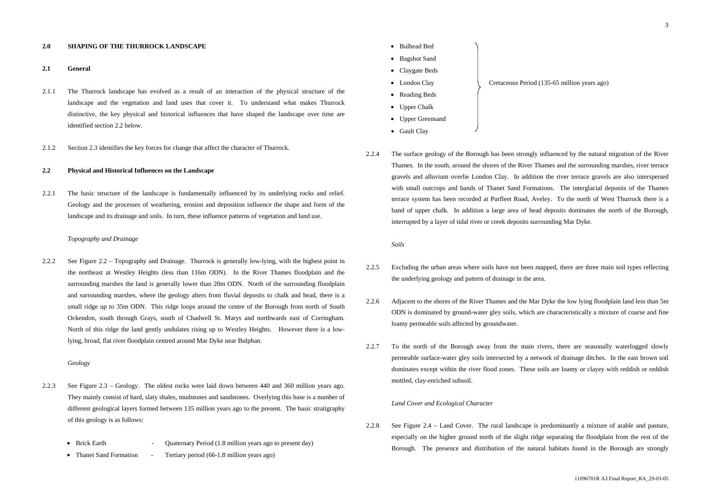### **2.0 SHAPING OF THE THURROCK LANDSCAPE**

### **2.1 General**

- 2.1.1 The Thurrock landscape has evolved as a result of an interaction of the physical structure of the landscape and the vegetation and land uses that cover it. To understand what makes Thurrock distinctive, the key physical and historical influences that have shaped the landscape over time are identified section 2.2 below.
- 2.1.2 Section 2.3 identifies the key forces for change that affect the character of Thurrock.

#### **2.2 Physical and Historical Influences on the Landscape**

2.2.1 The basic structure of the landscape is fundamentally influenced by its underlying rocks and relief. Geology and the processes of weathering, erosion and deposition influence the shape and form of the landscape and its drainage and soils. In turn, these influence patterns of vegetation and land use.

- 2.2.3 See Figure 2.3 Geology. The oldest rocks were laid down between 440 and 360 million years ago. They mainly consist of hard, slaty shales, mudstones and sandstones. Overlying this base is a number of different geological layers formed between 135 million years ago to the present. The basic stratigraphy of this geology is as follows:
	- Brick Earth Quaternary Period (1.8 million years ago to present day)
	- Thanet Sand Formation Tertiary period (66-1.8 million years ago)

# *Topography and Drainage*

2.2.2 See Figure 2.2 – Topography and Drainage. Thurrock is generally low-lying, with the highest point in the northeast at Westley Heights (less than 116m ODN). In the River Thames floodplain and the surrounding marshes the land is generally lower than 20m ODN. North of the surrounding floodplain and surrounding marshes, where the geology alters from fluvial deposits to chalk and head, there is a small ridge up to 35m ODN. This ridge loops around the centre of the Borough from north of South Ockendon, south through Grays, south of Chadwell St. Marys and northwards east of Corringham. North of this ridge the land gently undulates rising up to Westley Heights. However there is a lowlying, broad, flat river floodplain centred around Mar Dyke near Bulphan.

#### *Geology*

- Bulhead Bed
- Bagshot Sand
- Claygate Beds
- 
- Reading Beds
- Upper Chalk
- Upper Greensand
- Gault Clay
- 2.2.4 The surface geology of the Borough has been strongly influenced by the natural migration of the River Thames. In the south, around the shores of the River Thames and the surrounding marshes, river terrace gravels and alluvium overlie London Clay. In addition the river terrace gravels are also interspersed with small outcrops and bands of Thanet Sand Formations. The interglacial deposits of the Thames terrace system has been recorded at Purfleet Road, Aveley. To the north of West Thurrock there is a band of upper chalk. In addition a large area of head deposits dominates the north of the Borough, interrupted by a layer of tidal river or creek deposits surrounding Mar Dyke.

# *Soils*

- 2.2.5 Excluding the urban areas where soils have not been mapped, there are three main soil types reflecting the underlying geology and pattern of drainage in the area.
- 2.2.6 Adjacent to the shores of the River Thames and the Mar Dyke the low lying floodplain land less than 5m ODN is dominated by ground-water gley soils, which are characteristically a mixture of coarse and fine loamy permeable soils affected by groundwater.
- 2.2.7 To the north of the Borough away from the main rivers, there are seasonally waterlogged slowly permeable surface-water gley soils intersected by a network of drainage ditches. In the east brown soil dominates except within the river flood zones. These soils are loamy or clayey with reddish or reddish mottled, clay-enriched subsoil.

#### *Land Cover and Ecological Character*

2.2.8 See Figure 2.4 – Land Cover. The rural landscape is predominantly a mixture of arable and pasture, especially on the higher ground north of the slight ridge separating the floodplain from the rest of the Borough. The presence and distribution of the natural habitats found in the Borough are strongly

• London Clay Cretaceous Period (135-65 million years ago)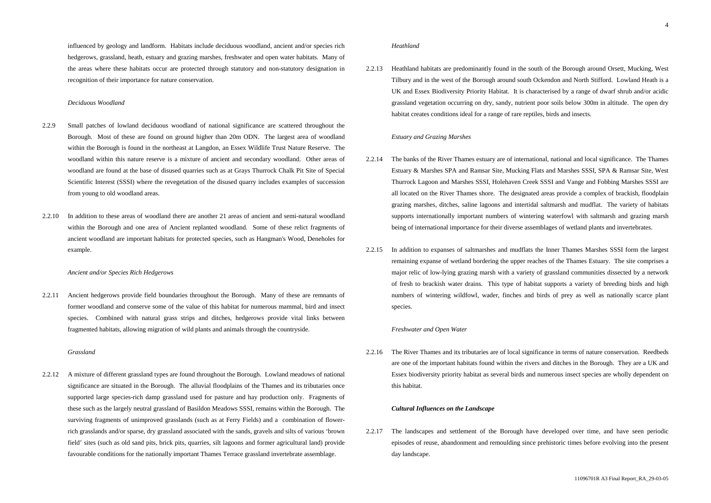influenced by geology and landform. Habitats include deciduous woodland, ancient and/or species rich hedgerows, grassland, heath, estuary and grazing marshes, freshwater and open water habitats. Many of the areas where these habitats occur are protected through statutory and non-statutory designation in recognition of their importance for nature conservation.

#### *Deciduous Woodland*

- 2.2.9 Small patches of lowland deciduous woodland of national significance are scattered throughout the Borough. Most of these are found on ground higher than 20m ODN. The largest area of woodland within the Borough is found in the northeast at Langdon, an Essex Wildlife Trust Nature Reserve. The woodland within this nature reserve is a mixture of ancient and secondary woodland. Other areas of woodland are found at the base of disused quarries such as at Grays Thurrock Chalk Pit Site of Special Scientific Interest (SSSI) where the revegetation of the disused quarry includes examples of succession from young to old woodland areas.
- 2.2.10 In addition to these areas of woodland there are another 21 areas of ancient and semi-natural woodland within the Borough and one area of Ancient replanted woodland. Some of these relict fragments of ancient woodland are important habitats for protected species, such as Hangman's Wood, Deneholes for example.

#### *Ancient and/or Species Rich Hedgerows*

2.2.11 Ancient hedgerows provide field boundaries throughout the Borough. Many of these are remnants of former woodland and conserve some of the value of this habitat for numerous mammal, bird and insect species. Combined with natural grass strips and ditches, hedgerows provide vital links between fragmented habitats, allowing migration of wild plants and animals through the countryside.

## *Grassland*

2.2.12 A mixture of different grassland types are found throughout the Borough. Lowland meadows of national significance are situated in the Borough. The alluvial floodplains of the Thames and its tributaries once supported large species-rich damp grassland used for pasture and hay production only. Fragments of these such as the largely neutral grassland of Basildon Meadows SSSI, remains within the Borough. The surviving fragments of unimproved grasslands (such as at Ferry Fields) and a combination of flowerrich grasslands and/or sparse, dry grassland associated with the sands, gravels and silts of various 'brown field' sites (such as old sand pits, brick pits, quarries, silt lagoons and former agricultural land) provide favourable conditions for the nationally important Thames Terrace grassland invertebrate assemblage.

#### *Heathland*

2.2.13 Heathland habitats are predominantly found in the south of the Borough around Orsett, Mucking, West Tilbury and in the west of the Borough around south Ockendon and North Stifford. Lowland Heath is a UK and Essex Biodiversity Priority Habitat. It is characterised by a range of dwarf shrub and/or acidic grassland vegetation occurring on dry, sandy, nutrient poor soils below 300m in altitude. The open dry habitat creates conditions ideal for a range of rare reptiles, birds and insects.

#### *Estuary and Grazing Marshes*

- 2.2.14 The banks of the River Thames estuary are of international, national and local significance. The Thames Estuary & Marshes SPA and Ramsar Site, Mucking Flats and Marshes SSSI, SPA & Ramsar Site, West Thurrock Lagoon and Marshes SSSI, Holehaven Creek SSSI and Vange and Fobbing Marshes SSSI are all located on the River Thames shore. The designated areas provide a complex of brackish, floodplain grazing marshes, ditches, saline lagoons and intertidal saltmarsh and mudflat. The variety of habitats supports internationally important numbers of wintering waterfowl with saltmarsh and grazing marsh being of international importance for their diverse assemblages of wetland plants and invertebrates.
- 2.2.15 In addition to expanses of saltmarshes and mudflats the Inner Thames Marshes SSSI form the largest remaining expanse of wetland bordering the upper reaches of the Thames Estuary. The site comprises a major relic of low-lying grazing marsh with a variety of grassland communities dissected by a network of fresh to brackish water drains. This type of habitat supports a variety of breeding birds and high numbers of wintering wildfowl, wader, finches and birds of prey as well as nationally scarce plant species.

# *Freshwater and Open Water*

2.2.16 The River Thames and its tributaries are of local significance in terms of nature conservation. Reedbeds are one of the important habitats found within the rivers and ditches in the Borough. They are a UK and Essex biodiversity priority habitat as several birds and numerous insect species are wholly dependent on this habitat.

#### *Cultural Influences on the Landscape*

2.2.17 The landscapes and settlement of the Borough have developed over time, and have seen periodic episodes of reuse, abandonment and remoulding since prehistoric times before evolving into the present day landscape.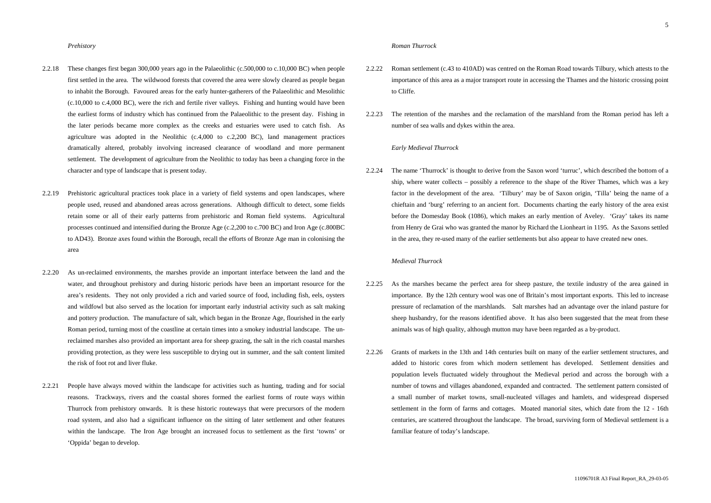#### *Prehistory*

- 2.2.18 These changes first began 300,000 years ago in the Palaeolithic (c.500,000 to c.10,000 BC) when people first settled in the area. The wildwood forests that covered the area were slowly cleared as people began to inhabit the Borough. Favoured areas for the early hunter-gatherers of the Palaeolithic and Mesolithic (c.10,000 to c.4,000 BC), were the rich and fertile river valleys. Fishing and hunting would have been the earliest forms of industry which has continued from the Palaeolithic to the present day. Fishing in the later periods became more complex as the creeks and estuaries were used to catch fish. As agriculture was adopted in the Neolithic (c.4,000 to c.2,200 BC), land management practices dramatically altered, probably involving increased clearance of woodland and more permanent settlement. The development of agriculture from the Neolithic to today has been a changing force in the character and type of landscape that is present today.
- 2.2.19 Prehistoric agricultural practices took place in a variety of field systems and open landscapes, where people used, reused and abandoned areas across generations. Although difficult to detect, some fields retain some or all of their early patterns from prehistoric and Roman field systems. Agricultural processes continued and intensified during the Bronze Age (c.2,200 to c.700 BC) and Iron Age (c.800BC to AD43). Bronze axes found within the Borough, recall the efforts of Bronze Age man in colonising the area
- 2.2.20 As un-reclaimed environments, the marshes provide an important interface between the land and the water, and throughout prehistory and during historic periods have been an important resource for the area's residents. They not only provided a rich and varied source of food, including fish, eels, oysters and wildfowl but also served as the location for important early industrial activity such as salt making and pottery production. The manufacture of salt, which began in the Bronze Age, flourished in the early Roman period, turning most of the coastline at certain times into a smokey industrial landscape. The unreclaimed marshes also provided an important area for sheep grazing, the salt in the rich coastal marshes providing protection, as they were less susceptible to drying out in summer, and the salt content limited the risk of foot rot and liver fluke.
- 2.2.21 People have always moved within the landscape for activities such as hunting, trading and for social reasons. Trackways, rivers and the coastal shores formed the earliest forms of route ways within Thurrock from prehistory onwards. It is these historic routeways that were precursors of the modern road system, and also had a significant influence on the sitting of later settlement and other features within the landscape. The Iron Age brought an increased focus to settlement as the first 'towns' or 'Oppida' began to develop.

#### *Roman Thurrock*

- 2.2.22 Roman settlement (c.43 to 410AD) was centred on the Roman Road towards Tilbury, which attests to the importance of this area as a major transport route in accessing the Thames and the historic crossing point to Cliffe.
- 2.2.23 The retention of the marshes and the reclamation of the marshland from the Roman period has left a number of sea walls and dykes within the area.

# *Early Medieval Thurrock*

2.2.24 The name 'Thurrock' is thought to derive from the Saxon word 'turruc', which described the bottom of a ship, where water collects – possibly a reference to the shape of the River Thames, which was a key factor in the development of the area. 'Tilbury' may be of Saxon origin, 'Tilla' being the name of a chieftain and 'burg' referring to an ancient fort. Documents charting the early history of the area exist before the Domesday Book (1086), which makes an early mention of Aveley. 'Gray' takes its name from Henry de Grai who was granted the manor by Richard the Lionheart in 1195. As the Saxons settled in the area, they re-used many of the earlier settlements but also appear to have created new ones.

#### *Medieval Thurrock*

- 2.2.25 As the marshes became the perfect area for sheep pasture, the textile industry of the area gained in importance. By the 12th century wool was one of Britain's most important exports. This led to increase pressure of reclamation of the marshlands. Salt marshes had an advantage over the inland pasture for sheep husbandry, for the reasons identified above. It has also been suggested that the meat from these animals was of high quality, although mutton may have been regarded as a by-product.
- 2.2.26 Grants of markets in the 13th and 14th centuries built on many of the earlier settlement structures, and added to historic cores from which modern settlement has developed. Settlement densities and population levels fluctuated widely throughout the Medieval period and across the borough with a number of towns and villages abandoned, expanded and contracted. The settlement pattern consisted of a small number of market towns, small-nucleated villages and hamlets, and widespread dispersed settlement in the form of farms and cottages. Moated manorial sites, which date from the 12 - 16th centuries, are scattered throughout the landscape. The broad, surviving form of Medieval settlement is a familiar feature of today's landscape.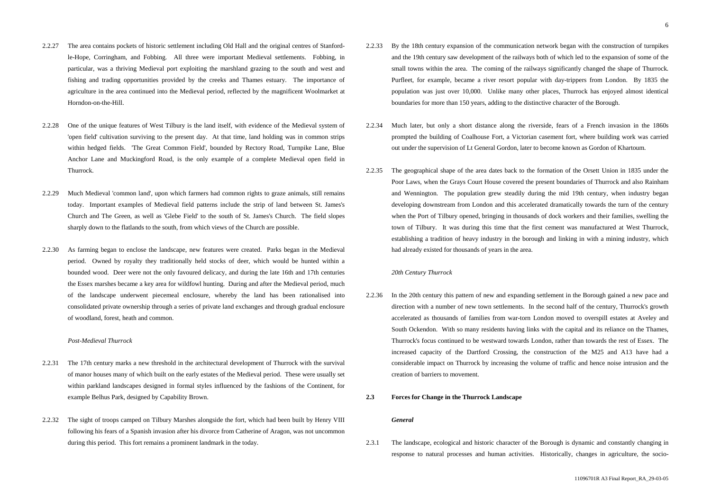- 2.2.27 The area contains pockets of historic settlement including Old Hall and the original centres of Stanfordle-Hope, Corringham, and Fobbing. All three were important Medieval settlements. Fobbing, in particular, was a thriving Medieval port exploiting the marshland grazing to the south and west and fishing and trading opportunities provided by the creeks and Thames estuary. The importance of agriculture in the area continued into the Medieval period, reflected by the magnificent Woolmarket at Horndon-on-the-Hill.
- 2.2.28 One of the unique features of West Tilbury is the land itself, with evidence of the Medieval system of 'open field' cultivation surviving to the present day. At that time, land holding was in common strips within hedged fields. 'The Great Common Field', bounded by Rectory Road, Turnpike Lane, Blue Anchor Lane and Muckingford Road, is the only example of a complete Medieval open field in Thurrock.
- 2.2.29 Much Medieval 'common land', upon which farmers had common rights to graze animals, still remains today. Important examples of Medieval field patterns include the strip of land between St. James's Church and The Green, as well as 'Glebe Field' to the south of St. James's Church. The field slopes sharply down to the flatlands to the south, from which views of the Church are possible.
- 2.2.30 As farming began to enclose the landscape, new features were created. Parks began in the Medieval period. Owned by royalty they traditionally held stocks of deer, which would be hunted within a bounded wood. Deer were not the only favoured delicacy, and during the late 16th and 17th centuries the Essex marshes became a key area for wildfowl hunting. During and after the Medieval period, much of the landscape underwent piecemeal enclosure, whereby the land has been rationalised into consolidated private ownership through a series of private land exchanges and through gradual enclosure of woodland, forest, heath and common.

#### *Post-Medieval Thurrock*

- 2.2.31 The 17th century marks a new threshold in the architectural development of Thurrock with the survival of manor houses many of which built on the early estates of the Medieval period. These were usually set within parkland landscapes designed in formal styles influenced by the fashions of the Continent, for example Belhus Park, designed by Capability Brown.
- 2.2.32 The sight of troops camped on Tilbury Marshes alongside the fort, which had been built by Henry VIII following his fears of a Spanish invasion after his divorce from Catherine of Aragon, was not uncommon during this period. This fort remains a prominent landmark in the today.
- 2.2.33 By the 18th century expansion of the communication network began with the construction of turnpikes and the 19th century saw development of the railways both of which led to the expansion of some of the small towns within the area. The coming of the railways significantly changed the shape of Thurrock. Purfleet, for example, became a river resort popular with day-trippers from London. By 1835 the population was just over 10,000. Unlike many other places, Thurrock has enjoyed almost identical boundaries for more than 150 years, adding to the distinctive character of the Borough.
- 2.2.34 Much later, but only a short distance along the riverside, fears of a French invasion in the 1860s prompted the building of Coalhouse Fort, a Victorian casement fort, where building work was carried out under the supervision of Lt General Gordon, later to become known as Gordon of Khartoum.
- 2.2.35 The geographical shape of the area dates back to the formation of the Orsett Union in 1835 under the Poor Laws, when the Grays Court House covered the present boundaries of Thurrock and also Rainham and Wennington. The population grew steadily during the mid 19th century, when industry began developing downstream from London and this accelerated dramatically towards the turn of the century when the Port of Tilbury opened, bringing in thousands of dock workers and their families, swelling the town of Tilbury. It was during this time that the first cement was manufactured at West Thurrock, establishing a tradition of heavy industry in the borough and linking in with a mining industry, which had already existed for thousands of years in the area.

#### *20th Century Thurrock*

- 2.2.36 In the 20th century this pattern of new and expanding settlement in the Borough gained a new pace and direction with a number of new town settlements. In the second half of the century, Thurrock's growth accelerated as thousands of families from war-torn London moved to overspill estates at Aveley and South Ockendon. With so many residents having links with the capital and its reliance on the Thames, Thurrock's focus continued to be westward towards London, rather than towards the rest of Essex. The increased capacity of the Dartford Crossing, the construction of the M25 and A13 have had a considerable impact on Thurrock by increasing the volume of traffic and hence noise intrusion and the creation of barriers to movement.
- **2.3 Forces for Change in the Thurrock Landscape**

#### *General*

2.3.1 The landscape, ecological and historic character of the Borough is dynamic and constantly changing in response to natural processes and human activities. Historically, changes in agriculture, the socio-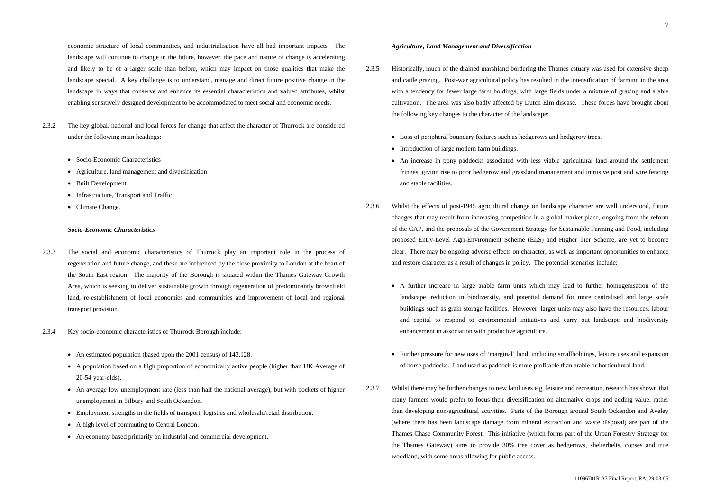- 2.3.2 The key global, national and local forces for change that affect the character of Thurrock are considered under the following main headings:
	- Socio-Economic Characteristics
	- Agriculture, land management and diversification
	- Built Development
	- Infrastructure, Transport and Traffic
	- Climate Change.

economic structure of local communities, and industrialisation have all had important impacts. The landscape will continue to change in the future, however, the pace and nature of change is accelerating and likely to be of a larger scale than before, which may impact on those qualities that make the landscape special. A key challenge is to understand, manage and direct future positive change in the landscape in ways that conserve and enhance its essential characteristics and valued attributes, whilst enabling sensitively designed development to be accommodated to meet social and economic needs.

### *Socio-Economic Characteristics*

- 2.3.3 The social and economic characteristics of Thurrock play an important role in the process of regeneration and future change, and these are influenced by the close proximity to London at the heart of the South East region. The majority of the Borough is situated within the Thames Gateway Growth Area, which is seeking to deliver sustainable growth through regeneration of predominantly brownfield land, re-establishment of local economies and communities and improvement of local and regional transport provision.
- 2.3.4 Key socio-economic characteristics of Thurrock Borough include:
	- An estimated population (based upon the 2001 census) of 143,128.
	- A population based on a high proportion of economically active people (higher than UK Average of 20-54 year-olds).
	- An average low unemployment rate (less than half the national average), but with pockets of higher unemployment in Tilbury and South Ockendon.
	- Employment strengths in the fields of transport, logistics and wholesale/retail distribution.
	- A high level of commuting to Central London.
	- An economy based primarily on industrial and commercial development.

### *Agriculture, Land Management and Diversification*

- 2.3.5 Historically, much of the drained marshland bordering the Thames estuary was used for extensive sheep and cattle grazing. Post-war agricultural policy has resulted in the intensification of farming in the area with a tendency for fewer large farm holdings, with large fields under a mixture of grazing and arable cultivation. The area was also badly affected by Dutch Elm disease. These forces have brought about the following key changes to the character of the landscape:
	- Loss of peripheral boundary features such as hedgerows and hedgerow trees.
	- Introduction of large modern farm buildings.
	- An increase in pony paddocks associated with less viable agricultural land around the settlement fringes, giving rise to poor hedgerow and grassland management and intrusive post and wire fencing and stable facilities.
- 2.3.6 Whilst the effects of post-1945 agricultural change on landscape character are well understood, future changes that may result from increasing competition in a global market place, ongoing from the reform of the CAP, and the proposals of the Government Strategy for Sustainable Farming and Food, including proposed Entry-Level Agri-Environment Scheme (ELS) and Higher Tier Scheme, are yet to become clear. There may be ongoing adverse effects on character, as well as important opportunities to enhance and restore character as a result of changes in policy. The potential scenarios include:
	- A further increase in large arable farm units which may lead to further homogenisation of the landscape, reduction in biodiversity, and potential demand for more centralised and large scale buildings such as grain storage facilities. However, larger units may also have the resources, labour and capital to respond to environmental initiatives and carry out landscape and biodiversity enhancement in association with productive agriculture.
	- Further pressure for new uses of 'marginal' land, including smallholdings, leisure uses and expansion of horse paddocks. Land used as paddock is more profitable than arable or horticultural land.
- 2.3.7 Whilst there may be further changes to new land uses e.g. leisure and recreation, research has shown that many farmers would prefer to focus their diversification on alternative crops and adding value, rather than developing non-agricultural activities. Parts of the Borough around South Ockendon and Aveley (where there has been landscape damage from mineral extraction and waste disposal) are part of the Thames Chase Community Forest. This initiative (which forms part of the Urban Forestry Strategy for the Thames Gateway) aims to provide 30% tree cover as hedgerows, shelterbelts, copses and true woodland, with some areas allowing for public access.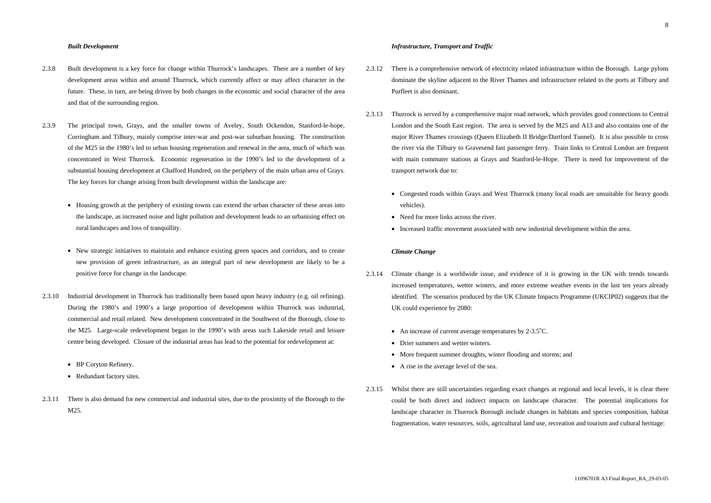#### *Built Development*

- 2.3.8 Built development is a key force for change within Thurrock's landscapes. There are a number of key development areas within and around Thurrock, which currently affect or may affect character in the future. These, in turn, are being driven by both changes in the economic and social character of the area and that of the surrounding region.
- 2.3.9 The principal town, Grays, and the smaller towns of Aveley, South Ockendon, Stanford-le-hope, Corringham and Tilbury, mainly comprise inter-war and post-war suburban housing. The construction of the M25 in the 1980's led to urban housing regeneration and renewal in the area, much of which was concentrated in West Thurrock. Economic regeneration in the 1990's led to the development of a substantial housing development at Chafford Hundred, on the periphery of the main urban area of Grays. The key forces for change arising from built development within the landscape are:
	- Housing growth at the periphery of existing towns can extend the urban character of these areas into the landscape, as increased noise and light pollution and development leads to an urbanising effect on rural landscapes and loss of tranquillity.
	- New strategic initiatives to maintain and enhance existing green spaces and corridors, and to create new provision of green infrastructure, as an integral part of new development are likely to be a positive force for change in the landscape.
- 2.3.10 Industrial development in Thurrock has traditionally been based upon heavy industry (e.g. oil refining). During the 1980's and 1990's a large proportion of development within Thurrock was industrial, commercial and retail related. New development concentrated in the Southwest of the Borough, close to the M25. Large-scale redevelopment began in the 1990's with areas such Lakeside retail and leisure centre being developed. Closure of the industrial areas has lead to the potential for redevelopment at:
	- BP Coryton Refinery.
	- Redundant factory sites.
- 2.3.11 There is also demand for new commercial and industrial sites, due to the proximity of the Borough to the M25.

#### *Infrastructure, Transport and Traffic*

- 2.3.12 There is a comprehensive network of electricity related infrastructure within the Borough. Large pylons dominate the skyline adjacent to the River Thames and infrastructure related to the ports at Tilbury and Purfleet is also dominant.
- 2.3.13 Thurrock is served by a comprehensive major road network, which provides good connections to Central London and the South East region. The area is served by the M25 and A13 and also contains one of the major River Thames crossings (Queen Elizabeth II Bridge/Dartford Tunnel). It is also possible to cross the river via the Tilbury to Gravesend fast passenger ferry. Train links to Central London are frequent with main commuter stations at Grays and Stanford-le-Hope. There is need for improvement of the transport network due to:
	- Congested roads within Grays and West Thurrock (many local roads are unsuitable for heavy goods vehicles).
	- Need for more links across the river.
	- Increased traffic movement associated with new industrial development within the area.

# *Climate Change*

- 2.3.14 Climate change is a worldwide issue, and evidence of it is growing in the UK with trends towards increased temperatures, wetter winters, and more extreme weather events in the last ten years already identified. The scenarios produced by the UK Climate Impacts Programme (UKCIP02) suggests that the UK could experience by 2080:
	- An increase of current average temperatures by  $2-3.5^{\circ}$ C.
	- Drier summers and wetter winters.
	- More frequent summer droughts, winter flooding and storms; and
	- A rise in the average level of the sea.
- 2.3.15 Whilst there are still uncertainties regarding exact changes at regional and local levels, it is clear there could be both direct and indirect impacts on landscape character. The potential implications for landscape character in Thurrock Borough include changes in habitats and species composition, habitat fragmentation, water resources, soils, agricultural land use, recreation and tourism and cultural heritage: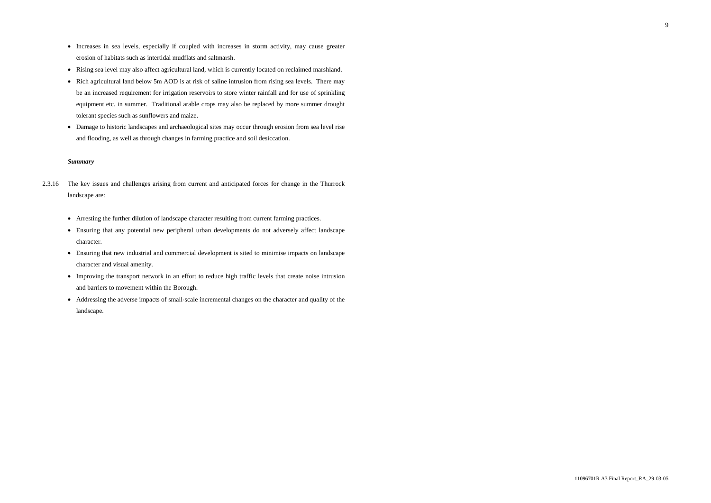9

- Increases in sea levels, especially if coupled with increases in storm activity, may cause greater erosion of habitats such as intertidal mudflats and saltmarsh.
- Rising sea level may also affect agricultural land, which is currently located on reclaimed marshland.
- Rich agricultural land below 5m AOD is at risk of saline intrusion from rising sea levels. There may be an increased requirement for irrigation reservoirs to store winter rainfall and for use of sprinkling equipment etc. in summer. Traditional arable crops may also be replaced by more summer drought tolerant species such as sunflowers and maize.
- Damage to historic landscapes and archaeological sites may occur through erosion from sea level rise and flooding, as well as through changes in farming practice and soil desiccation.

# *Summary*

- 2.3.16 The key issues and challenges arising from current and anticipated forces for change in the Thurrock landscape are:
	- Arresting the further dilution of landscape character resulting from current farming practices.
	- Ensuring that any potential new peripheral urban developments do not adversely affect landscape character.
	- Ensuring that new industrial and commercial development is sited to minimise impacts on landscape character and visual amenity.
	- Improving the transport network in an effort to reduce high traffic levels that create noise intrusion and barriers to movement within the Borough.
	- Addressing the adverse impacts of small-scale incremental changes on the character and quality of the landscape.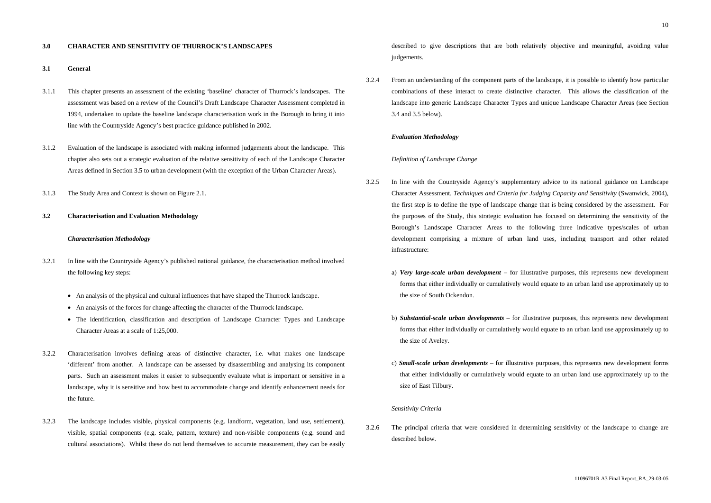#### **3.0 CHARACTER AND SENSITIVITY OF THURROCK'S LANDSCAPES**

#### **3.1 General**

- 3.1.1 This chapter presents an assessment of the existing 'baseline' character of Thurrock's landscapes. The assessment was based on a review of the Council's Draft Landscape Character Assessment completed in 1994, undertaken to update the baseline landscape characterisation work in the Borough to bring it into line with the Countryside Agency's best practice guidance published in 2002.
- 3.1.2 Evaluation of the landscape is associated with making informed judgements about the landscape. This chapter also sets out a strategic evaluation of the relative sensitivity of each of the Landscape Character Areas defined in Section 3.5 to urban development (with the exception of the Urban Character Areas).
- 3.1.3 The Study Area and Context is shown on Figure 2.1.

#### **3.2 Characterisation and Evaluation Methodology**

# *Characterisation Methodology*

- 3.2.1 In line with the Countryside Agency's published national guidance, the characterisation method involved the following key steps:
	- An analysis of the physical and cultural influences that have shaped the Thurrock landscape.
	- An analysis of the forces for change affecting the character of the Thurrock landscape.
	- The identification, classification and description of Landscape Character Types and Landscape Character Areas at a scale of 1:25,000.
- 3.2.2 Characterisation involves defining areas of distinctive character, i.e. what makes one landscape 'different' from another. A landscape can be assessed by disassembling and analysing its component parts. Such an assessment makes it easier to subsequently evaluate what is important or sensitive in a landscape, why it is sensitive and how best to accommodate change and identify enhancement needs for the future.
- 3.2.3 The landscape includes visible, physical components (e.g. landform, vegetation, land use, settlement), visible, spatial components (e.g. scale, pattern, texture) and non-visible components (e.g. sound and cultural associations). Whilst these do not lend themselves to accurate measurement, they can be easily

described to give descriptions that are both relatively objective and meaningful, avoiding value judgements.

3.2.4 From an understanding of the component parts of the landscape, it is possible to identify how particular combinations of these interact to create distinctive character. This allows the classification of the landscape into generic Landscape Character Types and unique Landscape Character Areas (see Section 3.4 and 3.5 below).

### *Evaluation Methodology*

### *Definition of Landscape Change*

- 3.2.5 In line with the Countryside Agency's supplementary advice to its national guidance on Landscape Character Assessment, *Techniques and Criteria for Judging Capacity and Sensitivity* (Swanwick, 2004), the first step is to define the type of landscape change that is being considered by the assessment. For the purposes of the Study, this strategic evaluation has focused on determining the sensitivity of the Borough's Landscape Character Areas to the following three indicative types/scales of urban development comprising a mixture of urban land uses, including transport and other related infrastructure:
	- a) *Very large-scale urban development* for illustrative purposes, this represents new development forms that either individually or cumulatively would equate to an urban land use approximately up to the size of South Ockendon.
	- b) *Substantial-scale urban developments* for illustrative purposes, this represents new development forms that either individually or cumulatively would equate to an urban land use approximately up to the size of Aveley.
	- c) *Small-scale urban developments* for illustrative purposes, this represents new development forms that either individually or cumulatively would equate to an urban land use approximately up to the size of East Tilbury.

# *Sensitivity Criteria*

3.2.6 The principal criteria that were considered in determining sensitivity of the landscape to change are described below.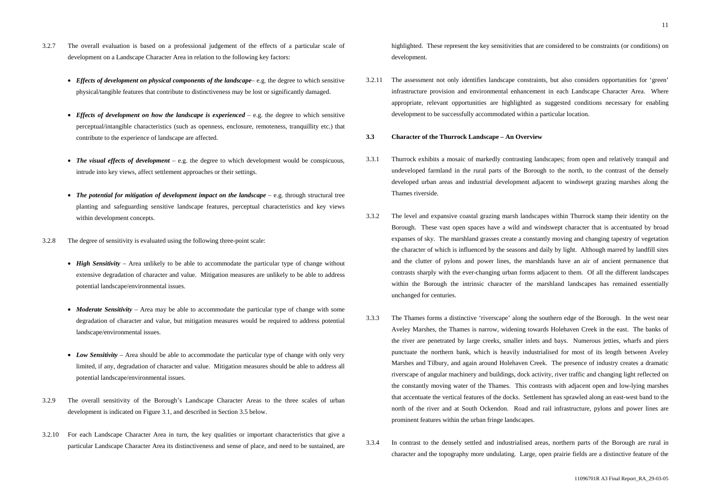- 3.2.7 The overall evaluation is based on a professional judgement of the effects of a particular scale of development on a Landscape Character Area in relation to the following key factors:
	- *Effects of development on physical components of the landscape* e.g. the degree to which sensitive physical/tangible features that contribute to distinctiveness may be lost or significantly damaged.
	- *Effects of development on how the landscape is experienced* e.g. the degree to which sensitive perceptual/intangible characteristics (such as openness, enclosure, remoteness, tranquillity etc.) that contribute to the experience of landscape are affected.
	- *The visual effects of development* e.g. the degree to which development would be conspicuous, intrude into key views, affect settlement approaches or their settings.
	- *The potential for mitigation of development impact on the landscape* e.g. through structural tree planting and safeguarding sensitive landscape features, perceptual characteristics and key views within development concepts.
- 3.2.8 The degree of sensitivity is evaluated using the following three-point scale:
	- *High Sensitivity* Area unlikely to be able to accommodate the particular type of change without extensive degradation of character and value. Mitigation measures are unlikely to be able to address potential landscape/environmental issues.
	- *Moderate Sensitivity* Area may be able to accommodate the particular type of change with some degradation of character and value, but mitigation measures would be required to address potential landscape/environmental issues.
	- *Low Sensitivity* Area should be able to accommodate the particular type of change with only very limited, if any, degradation of character and value. Mitigation measures should be able to address all potential landscape/environmental issues.
- 3.2.9 The overall sensitivity of the Borough's Landscape Character Areas to the three scales of urban development is indicated on Figure 3.1, and described in Section 3.5 below.
- 3.2.10 For each Landscape Character Area in turn, the key qualities or important characteristics that give a particular Landscape Character Area its distinctiveness and sense of place, and need to be sustained, are

highlighted. These represent the key sensitivities that are considered to be constraints (or conditions) on development.

3.2.11 The assessment not only identifies landscape constraints, but also considers opportunities for 'green' infrastructure provision and environmental enhancement in each Landscape Character Area. Where appropriate, relevant opportunities are highlighted as suggested conditions necessary for enabling development to be successfully accommodated within a particular location.

# **3.3 Character of the Thurrock Landscape – An Overview**

- 3.3.1 Thurrock exhibits a mosaic of markedly contrasting landscapes; from open and relatively tranquil and undeveloped farmland in the rural parts of the Borough to the north, to the contrast of the densely developed urban areas and industrial development adjacent to windswept grazing marshes along the Thames riverside.
- 3.3.2 The level and expansive coastal grazing marsh landscapes within Thurrock stamp their identity on the Borough. These vast open spaces have a wild and windswept character that is accentuated by broad expanses of sky. The marshland grasses create a constantly moving and changing tapestry of vegetation the character of which is influenced by the seasons and daily by light. Although marred by landfill sites and the clutter of pylons and power lines, the marshlands have an air of ancient permanence that contrasts sharply with the ever-changing urban forms adjacent to them. Of all the different landscapes within the Borough the intrinsic character of the marshland landscapes has remained essentially unchanged for centuries.
- 3.3.3 The Thames forms a distinctive 'riverscape' along the southern edge of the Borough. In the west near Aveley Marshes, the Thames is narrow, widening towards Holehaven Creek in the east. The banks of the river are penetrated by large creeks, smaller inlets and bays. Numerous jetties, wharfs and piers punctuate the northern bank, which is heavily industrialised for most of its length between Aveley Marshes and Tilbury, and again around Holehaven Creek. The presence of industry creates a dramatic riverscape of angular machinery and buildings, dock activity, river traffic and changing light reflected on the constantly moving water of the Thames. This contrasts with adjacent open and low-lying marshes that accentuate the vertical features of the docks. Settlement has sprawled along an east-west band to the north of the river and at South Ockendon. Road and rail infrastructure, pylons and power lines are prominent features within the urban fringe landscapes.
- 3.3.4 In contrast to the densely settled and industrialised areas, northern parts of the Borough are rural in character and the topography more undulating. Large, open prairie fields are a distinctive feature of the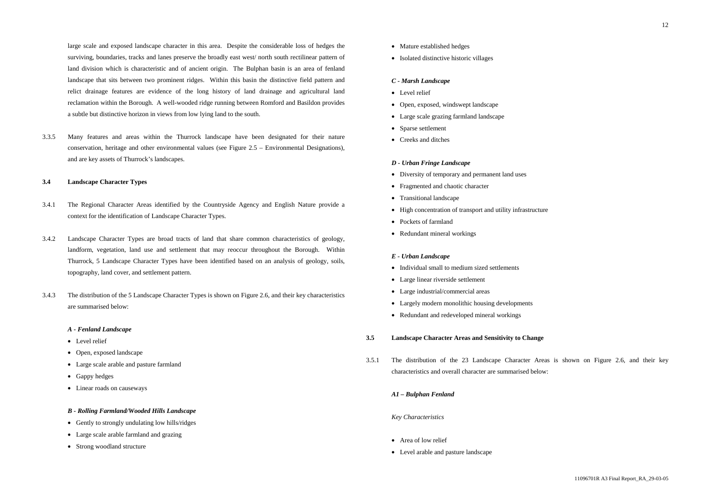large scale and exposed landscape character in this area. Despite the considerable loss of hedges the surviving, boundaries, tracks and lanes preserve the broadly east west/ north south rectilinear pattern of land division which is characteristic and of ancient origin. The Bulphan basin is an area of fenland landscape that sits between two prominent ridges. Within this basin the distinctive field pattern and relict drainage features are evidence of the long history of land drainage and agricultural land reclamation within the Borough. A well-wooded ridge running between Romford and Basildon provides a subtle but distinctive horizon in views from low lying land to the south.

3.3.5 Many features and areas within the Thurrock landscape have been designated for their nature conservation, heritage and other environmental values (see Figure 2.5 – Environmental Designations), and are key assets of Thurrock's landscapes.

- Level relief
- Open, exposed landscape
- Large scale arable and pasture farmland
- Gappy hedges
- Linear roads on causeways

- Gently to strongly undulating low hills/ridges
- Large scale arable farmland and grazing
- Strong woodland structure
- Mature established hedges
- Isolated distinctive historic villages

#### **3.4 Landscape Character Types**

- 3.4.1 The Regional Character Areas identified by the Countryside Agency and English Nature provide a context for the identification of Landscape Character Types.
- 3.4.2 Landscape Character Types are broad tracts of land that share common characteristics of geology, landform, vegetation, land use and settlement that may reoccur throughout the Borough. Within Thurrock, 5 Landscape Character Types have been identified based on an analysis of geology, soils, topography, land cover, and settlement pattern.
- 3.4.3 The distribution of the 5 Landscape Character Types is shown on Figure 2.6, and their key characteristics are summarised below:

- Area of low relief
- Level arable and pasture landscape

# *A - Fenland Landscape*

#### *B - Rolling Farmland/Wooded Hills Landscape*

# *C - Marsh Landscape*

- Level relief
- Open, exposed, windswept landscape
- Large scale grazing farmland landscape
- Sparse settlement
- Creeks and ditches

### *D - Urban Fringe Landscape*

- Diversity of temporary and permanent land uses
- Fragmented and chaotic character
- Transitional landscape
- High concentration of transport and utility infrastructure
- Pockets of farmland
- Redundant mineral workings

#### *E - Urban Landscape*

- Individual small to medium sized settlements
- Large linear riverside settlement
- Large industrial/commercial areas
- Largely modern monolithic housing developments
- Redundant and redeveloped mineral workings

#### **3.5 Landscape Character Areas and Sensitivity to Change**

3.5.1 The distribution of the 23 Landscape Character Areas is shown on Figure 2.6, and their key characteristics and overall character are summarised below:

### *A1 – Bulphan Fenland*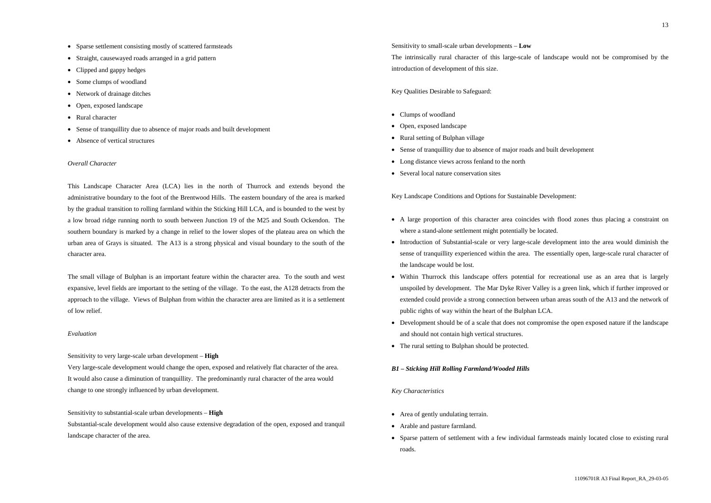- Sparse settlement consisting mostly of scattered farmsteads
- Straight, causewayed roads arranged in a grid pattern
- Clipped and gappy hedges
- Some clumps of woodland
- Network of drainage ditches
- Open, exposed landscape
- Rural character
- Sense of tranquillity due to absence of major roads and built development
- Absence of vertical structures

# *Overall Character*

This Landscape Character Area (LCA) lies in the north of Thurrock and extends beyond the administrative boundary to the foot of the Brentwood Hills. The eastern boundary of the area is marked by the gradual transition to rolling farmland within the Sticking Hill LCA, and is bounded to the west by a low broad ridge running north to south between Junction 19 of the M25 and South Ockendon. The southern boundary is marked by a change in relief to the lower slopes of the plateau area on which the urban area of Grays is situated. The A13 is a strong physical and visual boundary to the south of the character area.

- Clumps of woodland
- Open, exposed landscape
- Rural setting of Bulphan village
- Sense of tranquillity due to absence of major roads and built development
- Long distance views across fenland to the north
- Several local nature conservation sites

The small village of Bulphan is an important feature within the character area. To the south and west expansive, level fields are important to the setting of the village. To the east, the A128 detracts from the approach to the village. Views of Bulphan from within the character area are limited as it is a settlement of low relief.

- A large proportion of this character area coincides with flood zones thus placing a constraint on where a stand-alone settlement might potentially be located.
- sense of tranquillity experienced within the area. The essentially open, large-scale rural character of the landscape would be lost.
- Within Thurrock this landscape offers potential for recreational use as an area that is largely unspoiled by development. The Mar Dyke River Valley is a green link, which if further improved or extended could provide a strong connection between urban areas south of the A13 and the network of public rights of way within the heart of the Bulphan LCA.
- Development should be of a scale that does not compromise the open exposed nature if the landscape and should not contain high vertical structures.
- The rural setting to Bulphan should be protected.

## *Evaluation*

Sensitivity to very large-scale urban development – **High**

Very large-scale development would change the open, exposed and relatively flat character of the area. It would also cause a diminution of tranquillity. The predominantly rural character of the area would change to one strongly influenced by urban development.

Sensitivity to substantial-scale urban developments – **High**

Substantial-scale development would also cause extensive degradation of the open, exposed and tranquil landscape character of the area.

- Area of gently undulating terrain.
- Arable and pasture farmland.
- Sparse pattern of settlement with a few individual farmsteads mainly located close to existing rural roads.

Sensitivity to small-scale urban developments – **Low** The intrinsically rural character of this large-scale of landscape would not be compromised by the introduction of development of this size.

Key Qualities Desirable to Safeguard:

Key Landscape Conditions and Options for Sustainable Development:

• Introduction of Substantial-scale or very large-scale development into the area would diminish the

### *B1 – Sticking Hill Rolling Farmland/Wooded Hills*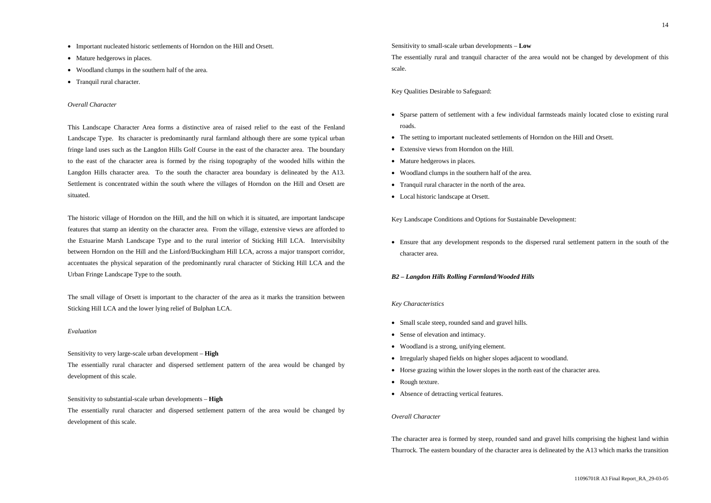14

- Important nucleated historic settlements of Horndon on the Hill and Orsett.
- Mature hedgerows in places.
- Woodland clumps in the southern half of the area.
- Tranquil rural character.

#### *Overall Character*

This Landscape Character Area forms a distinctive area of raised relief to the east of the Fenland Landscape Type. Its character is predominantly rural farmland although there are some typical urban fringe land uses such as the Langdon Hills Golf Course in the east of the character area. The boundary to the east of the character area is formed by the rising topography of the wooded hills within the Langdon Hills character area. To the south the character area boundary is delineated by the A13. Settlement is concentrated within the south where the villages of Horndon on the Hill and Orsett are situated.

The historic village of Horndon on the Hill, and the hill on which it is situated, are important landscape features that stamp an identity on the character area. From the village, extensive views are afforded to the Estuarine Marsh Landscape Type and to the rural interior of Sticking Hill LCA. Intervisibilty between Horndon on the Hill and the Linford/Buckingham Hill LCA, across a major transport corridor, accentuates the physical separation of the predominantly rural character of Sticking Hill LCA and the Urban Fringe Landscape Type to the south.

The small village of Orsett is important to the character of the area as it marks the transition between Sticking Hill LCA and the lower lying relief of Bulphan LCA.

#### *Evaluation*

- Small scale steep, rounded sand and gravel hills.
- Sense of elevation and intimacy.
- Woodland is a strong, unifying element.
- Irregularly shaped fields on higher slopes adjacent to woodland.
- Horse grazing within the lower slopes in the north east of the character area.
- Rough texture.
- Absence of detracting vertical features.

Sensitivity to very large-scale urban development – **High**

The essentially rural character and dispersed settlement pattern of the area would be changed by development of this scale.

Sensitivity to substantial-scale urban developments – **High**

The essentially rural character and dispersed settlement pattern of the area would be changed by development of this scale.

Sensitivity to small-scale urban developments – **Low** The essentially rural and tranquil character of the area would not be changed by development of this scale.

Key Qualities Desirable to Safeguard:

• Sparse pattern of settlement with a few individual farmsteads mainly located close to existing rural

- roads.
- The setting to important nucleated settlements of Horndon on the Hill and Orsett.
- Extensive views from Horndon on the Hill.
- Mature hedgerows in places.
- Woodland clumps in the southern half of the area.
- Tranquil rural character in the north of the area.
- Local historic landscape at Orsett.

Key Landscape Conditions and Options for Sustainable Development:

• Ensure that any development responds to the dispersed rural settlement pattern in the south of the character area.

### *B2 – Langdon Hills Rolling Farmland/Wooded Hills*

## *Key Characteristics*

# *Overall Character*

The character area is formed by steep, rounded sand and gravel hills comprising the highest land within Thurrock. The eastern boundary of the character area is delineated by the A13 which marks the transition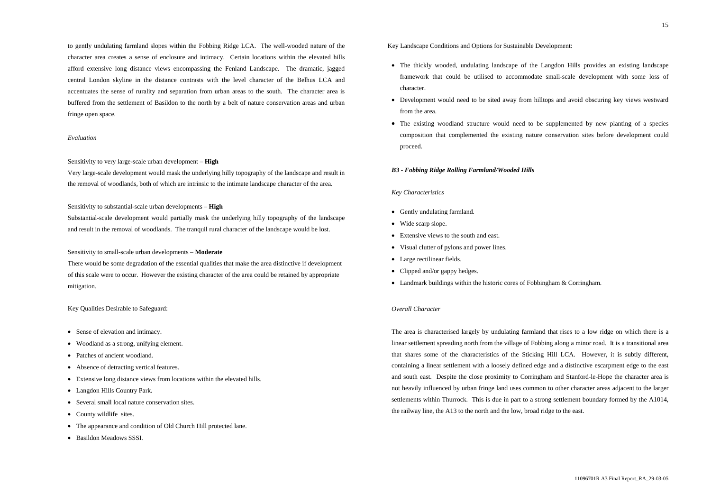to gently undulating farmland slopes within the Fobbing Ridge LCA. The well-wooded nature of the character area creates a sense of enclosure and intimacy. Certain locations within the elevated hills afford extensive long distance views encompassing the Fenland Landscape. The dramatic, jagged central London skyline in the distance contrasts with the level character of the Belhus LCA and accentuates the sense of rurality and separation from urban areas to the south. The character area is buffered from the settlement of Basildon to the north by a belt of nature conservation areas and urban fringe open space.

# *Evaluation*

#### Sensitivity to very large-scale urban development – **High**

Very large-scale development would mask the underlying hilly topography of the landscape and result in the removal of woodlands, both of which are intrinsic to the intimate landscape character of the area.

#### Sensitivity to substantial-scale urban developments – **High**

- Sense of elevation and intimacy.
- Woodland as a strong, unifying element.
- Patches of ancient woodland.
- Absence of detracting vertical features.
- Extensive long distance views from locations within the elevated hills.
- Langdon Hills Country Park.
- Several small local nature conservation sites.
- County wildlife sites.
- The appearance and condition of Old Church Hill protected lane.
- Basildon Meadows SSSI.

Substantial-scale development would partially mask the underlying hilly topography of the landscape and result in the removal of woodlands. The tranquil rural character of the landscape would be lost.

### Sensitivity to small-scale urban developments – **Moderate**

- Gently undulating farmland.
- Wide scarp slope.
- Extensive views to the south and east.
- Visual clutter of pylons and power lines.
- Large rectilinear fields.
- Clipped and/or gappy hedges.
- Landmark buildings within the historic cores of Fobbingham & Corringham.

There would be some degradation of the essential qualities that make the area distinctive if development of this scale were to occur. However the existing character of the area could be retained by appropriate mitigation.

#### Key Qualities Desirable to Safeguard:

# Key Landscape Conditions and Options for Sustainable Development:

- The thickly wooded, undulating landscape of the Langdon Hills provides an existing landscape framework that could be utilised to accommodate small-scale development with some loss of character.
- Development would need to be sited away from hilltops and avoid obscuring key views westward from the area.
- The existing woodland structure would need to be supplemented by new planting of a species composition that complemented the existing nature conservation sites before development could proceed.

### *B3 - Fobbing Ridge Rolling Farmland/Wooded Hills*

#### *Key Characteristics*

# *Overall Character*

The area is characterised largely by undulating farmland that rises to a low ridge on which there is a linear settlement spreading north from the village of Fobbing along a minor road. It is a transitional area that shares some of the characteristics of the Sticking Hill LCA. However, it is subtly different, containing a linear settlement with a loosely defined edge and a distinctive escarpment edge to the east and south east. Despite the close proximity to Corringham and Stanford-le-Hope the character area is not heavily influenced by urban fringe land uses common to other character areas adjacent to the larger settlements within Thurrock. This is due in part to a strong settlement boundary formed by the A1014, the railway line, the A13 to the north and the low, broad ridge to the east.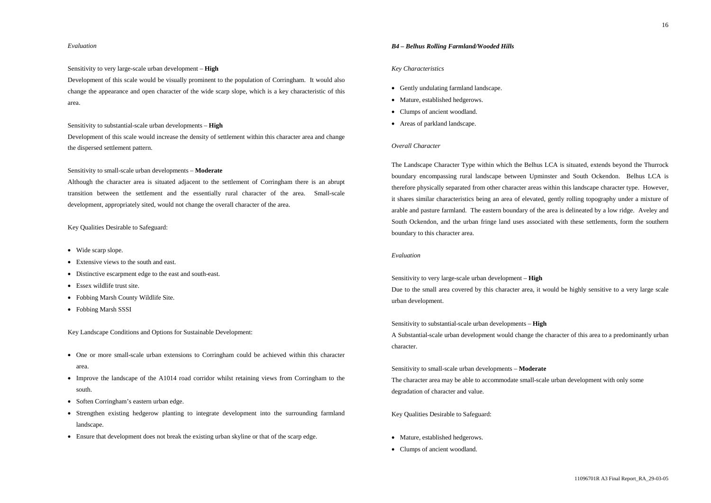# *Evaluation*

Sensitivity to very large-scale urban development – **High**

Development of this scale would be visually prominent to the population of Corringham. It would also change the appearance and open character of the wide scarp slope, which is a key characteristic of this area.

Sensitivity to substantial-scale urban developments – **High**

Development of this scale would increase the density of settlement within this character area and change the dispersed settlement pattern.

Sensitivity to small-scale urban developments – **Moderate**

- Wide scarp slope.
- Extensive views to the south and east.
- Distinctive escarpment edge to the east and south-east.
- Essex wildlife trust site.
- Fobbing Marsh County Wildlife Site.
- Fobbing Marsh SSSI

- One or more small-scale urban extensions to Corringham could be achieved within this character area.
- Improve the landscape of the A1014 road corridor whilst retaining views from Corringham to the south.
- Soften Corringham's eastern urban edge.
- Strengthen existing hedgerow planting to integrate development into the surrounding farmland landscape.
- Ensure that development does not break the existing urban skyline or that of the scarp edge.

Although the character area is situated adjacent to the settlement of Corringham there is an abrupt transition between the settlement and the essentially rural character of the area. Small-scale development, appropriately sited, would not change the overall character of the area.

Key Qualities Desirable to Safeguard:

Key Landscape Conditions and Options for Sustainable Development:

- Mature, established hedgerows.
- Clumps of ancient woodland.

# *B4 – Belhus Rolling Farmland/Wooded Hills*

#### *Key Characteristics*

- Gently undulating farmland landscape.
- Mature, established hedgerows.
- Clumps of ancient woodland.
- Areas of parkland landscape.

# *Overall Character*

The Landscape Character Type within which the Belhus LCA is situated, extends beyond the Thurrock boundary encompassing rural landscape between Upminster and South Ockendon. Belhus LCA is therefore physically separated from other character areas within this landscape character type. However, it shares similar characteristics being an area of elevated, gently rolling topography under a mixture of arable and pasture farmland. The eastern boundary of the area is delineated by a low ridge. Aveley and South Ockendon, and the urban fringe land uses associated with these settlements, form the southern boundary to this character area.

# *Evaluation*

Sensitivity to very large-scale urban development – **High** Due to the small area covered by this character area, it would be highly sensitive to a very large scale urban development.

Sensitivity to substantial-scale urban developments – **High** A Substantial-scale urban development would change the character of this area to a predominantly urban character.

Sensitivity to small-scale urban developments – **Moderate** The character area may be able to accommodate small-scale urban development with only some degradation of character and value.

Key Qualities Desirable to Safeguard: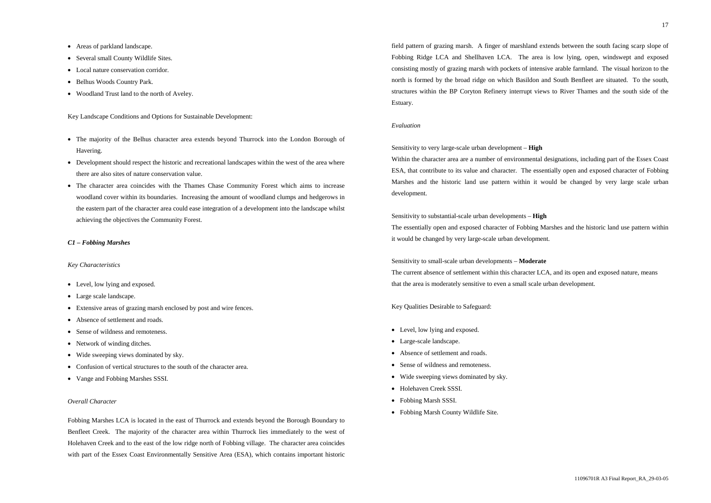- Areas of parkland landscape.
- Several small County Wildlife Sites.
- Local nature conservation corridor.
- Belhus Woods Country Park.
- Woodland Trust land to the north of Aveley.

Key Landscape Conditions and Options for Sustainable Development:

- The majority of the Belhus character area extends beyond Thurrock into the London Borough of Havering.
- Development should respect the historic and recreational landscapes within the west of the area where there are also sites of nature conservation value.
- The character area coincides with the Thames Chase Community Forest which aims to increase woodland cover within its boundaries. Increasing the amount of woodland clumps and hedgerows in the eastern part of the character area could ease integration of a development into the landscape whilst achieving the objectives the Community Forest.

- Level, low lying and exposed.
- Large scale landscape.
- Extensive areas of grazing marsh enclosed by post and wire fences.
- Absence of settlement and roads.
- Sense of wildness and remoteness.
- Network of winding ditches.
- Wide sweeping views dominated by sky.
- Confusion of vertical structures to the south of the character area.
- Vange and Fobbing Marshes SSSI.

#### *C1 – Fobbing Marshes*

### *Key Characteristics*

# *Overall Character*

Fobbing Marshes LCA is located in the east of Thurrock and extends beyond the Borough Boundary to Benfleet Creek. The majority of the character area within Thurrock lies immediately to the west of Holehaven Creek and to the east of the low ridge north of Fobbing village. The character area coincides with part of the Essex Coast Environmentally Sensitive Area (ESA), which contains important historic

field pattern of grazing marsh. A finger of marshland extends between the south facing scarp slope of Fobbing Ridge LCA and Shellhaven LCA. The area is low lying, open, windswept and exposed consisting mostly of grazing marsh with pockets of intensive arable farmland. The visual horizon to the north is formed by the broad ridge on which Basildon and South Benfleet are situated. To the south, structures within the BP Coryton Refinery interrupt views to River Thames and the south side of the Estuary.

#### *Evaluation*

Sensitivity to very large-scale urban development – **High** Within the character area are a number of environmental designations, including part of the Essex Coast ESA, that contribute to its value and character. The essentially open and exposed character of Fobbing Marshes and the historic land use pattern within it would be changed by very large scale urban development.

Sensitivity to substantial-scale urban developments – **High** The essentially open and exposed character of Fobbing Marshes and the historic land use pattern within it would be changed by very large-scale urban development.

Sensitivity to small-scale urban developments – **Moderate** The current absence of settlement within this character LCA, and its open and exposed nature, means that the area is moderately sensitive to even a small scale urban development.

Key Qualities Desirable to Safeguard:

- Level, low lying and exposed.
- Large-scale landscape.
- Absence of settlement and roads.
- Sense of wildness and remoteness.
- Wide sweeping views dominated by sky.
- Holehaven Creek SSSI.
- Fobbing Marsh SSSI.
- Fobbing Marsh County Wildlife Site.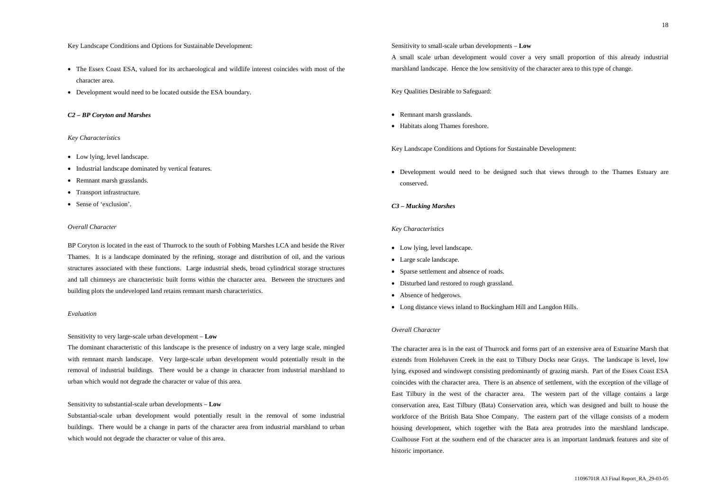#### Key Landscape Conditions and Options for Sustainable Development:

- The Essex Coast ESA, valued for its archaeological and wildlife interest coincides with most of the character area.
- Development would need to be located outside the ESA boundary.

# *C2 – BP Coryton and Marshes*

#### *Key Characteristics*

- Low lying, level landscape.
- Industrial landscape dominated by vertical features.
- Remnant marsh grasslands.
- Transport infrastructure.
- Sense of 'exclusion'.

#### *Overall Character*

BP Coryton is located in the east of Thurrock to the south of Fobbing Marshes LCA and beside the River Thames. It is a landscape dominated by the refining, storage and distribution of oil, and the various structures associated with these functions. Large industrial sheds, broad cylindrical storage structures and tall chimneys are characteristic built forms within the character area. Between the structures and building plots the undeveloped land retains remnant marsh characteristics.

# *Evaluation*

#### Sensitivity to very large-scale urban development – **Low**

The dominant characteristic of this landscape is the presence of industry on a very large scale, mingled with remnant marsh landscape. Very large-scale urban development would potentially result in the removal of industrial buildings. There would be a change in character from industrial marshland to urban which would not degrade the character or value of this area.

- Low lying, level landscape.
- Large scale landscape.
- Sparse settlement and absence of roads.
- Disturbed land restored to rough grassland.
- Absence of hedgerows.
- Long distance views inland to Buckingham Hill and Langdon Hills.

### Sensitivity to substantial-scale urban developments – **Low**

Substantial-scale urban development would potentially result in the removal of some industrial buildings. There would be a change in parts of the character area from industrial marshland to urban which would not degrade the character or value of this area.

Sensitivity to small-scale urban developments – **Low** A small scale urban development would cover a very small proportion of this already industrial marshland landscape. Hence the low sensitivity of the character area to this type of change.

Key Qualities Desirable to Safeguard:

- Remnant marsh grasslands.
- Habitats along Thames foreshore.

Key Landscape Conditions and Options for Sustainable Development:

• Development would need to be designed such that views through to the Thames Estuary are conserved.

# *C3 – Mucking Marshes*

# *Key Characteristics*

# *Overall Character*

The character area is in the east of Thurrock and forms part of an extensive area of Estuarine Marsh that extends from Holehaven Creek in the east to Tilbury Docks near Grays. The landscape is level, low lying, exposed and windswept consisting predominantly of grazing marsh. Part of the Essex Coast ESA coincides with the character area. There is an absence of settlement, with the exception of the village of East Tilbury in the west of the character area. The western part of the village contains a large conservation area, East Tilbury (Bata) Conservation area, which was designed and built to house the workforce of the British Bata Shoe Company. The eastern part of the village consists of a modern housing development, which together with the Bata area protrudes into the marshland landscape. Coalhouse Fort at the southern end of the character area is an important landmark features and site of historic importance.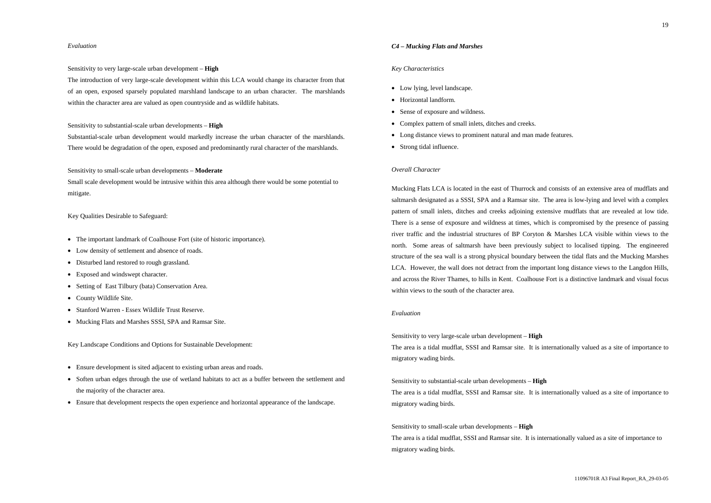19

# *Evaluation*

Sensitivity to very large-scale urban development – **High**

The introduction of very large-scale development within this LCA would change its character from that of an open, exposed sparsely populated marshland landscape to an urban character. The marshlands within the character area are valued as open countryside and as wildlife habitats.

Sensitivity to substantial-scale urban developments – **High**

Substantial-scale urban development would markedly increase the urban character of the marshlands. There would be degradation of the open, exposed and predominantly rural character of the marshlands.

Sensitivity to small-scale urban developments – **Moderate**

Small scale development would be intrusive within this area although there would be some potential to mitigate.

#### Key Qualities Desirable to Safeguard:

- The important landmark of Coalhouse Fort (site of historic importance).
- Low density of settlement and absence of roads.
- Disturbed land restored to rough grassland.
- Exposed and windswept character.
- Setting of East Tilbury (bata) Conservation Area.
- County Wildlife Site.
- Stanford Warren Essex Wildlife Trust Reserve.
- Mucking Flats and Marshes SSSI, SPA and Ramsar Site.

Key Landscape Conditions and Options for Sustainable Development:

- Ensure development is sited adjacent to existing urban areas and roads.
- Soften urban edges through the use of wetland habitats to act as a buffer between the settlement and the majority of the character area.
- Ensure that development respects the open experience and horizontal appearance of the landscape.

### *C4 – Mucking Flats and Marshes*

#### *Key Characteristics*

- Low lying, level landscape.
- Horizontal landform.
- Sense of exposure and wildness.
- Complex pattern of small inlets, ditches and creeks.
- Long distance views to prominent natural and man made features.
- Strong tidal influence.

# *Overall Character*

Mucking Flats LCA is located in the east of Thurrock and consists of an extensive area of mudflats and saltmarsh designated as a SSSI, SPA and a Ramsar site. The area is low-lying and level with a complex pattern of small inlets, ditches and creeks adjoining extensive mudflats that are revealed at low tide. There is a sense of exposure and wildness at times, which is compromised by the presence of passing river traffic and the industrial structures of BP Coryton & Marshes LCA visible within views to the north. Some areas of saltmarsh have been previously subject to localised tipping. The engineered structure of the sea wall is a strong physical boundary between the tidal flats and the Mucking Marshes LCA. However, the wall does not detract from the important long distance views to the Langdon Hills, and across the River Thames, to hills in Kent. Coalhouse Fort is a distinctive landmark and visual focus within views to the south of the character area.

### *Evaluation*

Sensitivity to very large-scale urban development – **High** The area is a tidal mudflat, SSSI and Ramsar site. It is internationally valued as a site of importance to migratory wading birds.

Sensitivity to substantial-scale urban developments – **High** The area is a tidal mudflat, SSSI and Ramsar site. It is internationally valued as a site of importance to migratory wading birds.

Sensitivity to small-scale urban developments – **High** The area is a tidal mudflat, SSSI and Ramsar site. It is internationally valued as a site of importance to migratory wading birds.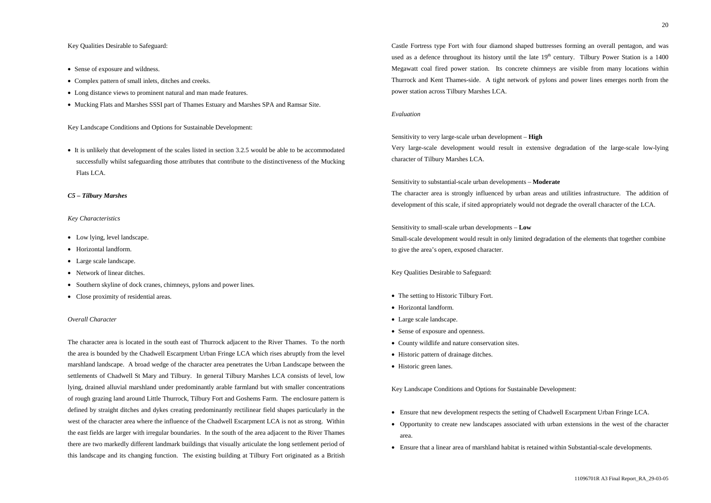### Key Qualities Desirable to Safeguard:

- Sense of exposure and wildness.
- Complex pattern of small inlets, ditches and creeks.
- Long distance views to prominent natural and man made features.
- Mucking Flats and Marshes SSSI part of Thames Estuary and Marshes SPA and Ramsar Site.

• It is unlikely that development of the scales listed in section 3.2.5 would be able to be accommodated successfully whilst safeguarding those attributes that contribute to the distinctiveness of the Mucking Flats LCA.

Key Landscape Conditions and Options for Sustainable Development:

- Low lying, level landscape.
- Horizontal landform.
- Large scale landscape.
- Network of linear ditches.
- Southern skyline of dock cranes, chimneys, pylons and power lines.
- Close proximity of residential areas.

#### *C5 – Tilbury Marshes*

## *Key Characteristics*

# *Overall Character*

The character area is located in the south east of Thurrock adjacent to the River Thames. To the north the area is bounded by the Chadwell Escarpment Urban Fringe LCA which rises abruptly from the level marshland landscape. A broad wedge of the character area penetrates the Urban Landscape between the settlements of Chadwell St Mary and Tilbury. In general Tilbury Marshes LCA consists of level, low lying, drained alluvial marshland under predominantly arable farmland but with smaller concentrations of rough grazing land around Little Thurrock, Tilbury Fort and Goshems Farm. The enclosure pattern is defined by straight ditches and dykes creating predominantly rectilinear field shapes particularly in the west of the character area where the influence of the Chadwell Escarpment LCA is not as strong. Within the east fields are larger with irregular boundaries. In the south of the area adjacent to the River Thames there are two markedly different landmark buildings that visually articulate the long settlement period of this landscape and its changing function. The existing building at Tilbury Fort originated as a British

Castle Fortress type Fort with four diamond shaped buttresses forming an overall pentagon, and was used as a defence throughout its history until the late  $19<sup>th</sup>$  century. Tilbury Power Station is a 1400 Megawatt coal fired power station. Its concrete chimneys are visible from many locations within Thurrock and Kent Thames-side. A tight network of pylons and power lines emerges north from the power station across Tilbury Marshes LCA.

#### *Evaluation*

Sensitivity to very large-scale urban development – **High** Very large-scale development would result in extensive degradation of the large-scale low-lying character of Tilbury Marshes LCA.

Sensitivity to substantial-scale urban developments – **Moderate** The character area is strongly influenced by urban areas and utilities infrastructure. The addition of development of this scale, if sited appropriately would not degrade the overall character of the LCA.

Sensitivity to small-scale urban developments – **Low** Small-scale development would result in only limited degradation of the elements that together combine to give the area's open, exposed character.

#### Key Qualities Desirable to Safeguard:

- The setting to Historic Tilbury Fort.
- Horizontal landform.
- Large scale landscape.
- Sense of exposure and openness.
- County wildlife and nature conservation sites.
- Historic pattern of drainage ditches.
- Historic green lanes.

Key Landscape Conditions and Options for Sustainable Development:

• Opportunity to create new landscapes associated with urban extensions in the west of the character

- Ensure that new development respects the setting of Chadwell Escarpment Urban Fringe LCA.
- area.
- Ensure that a linear area of marshland habitat is retained within Substantial-scale developments.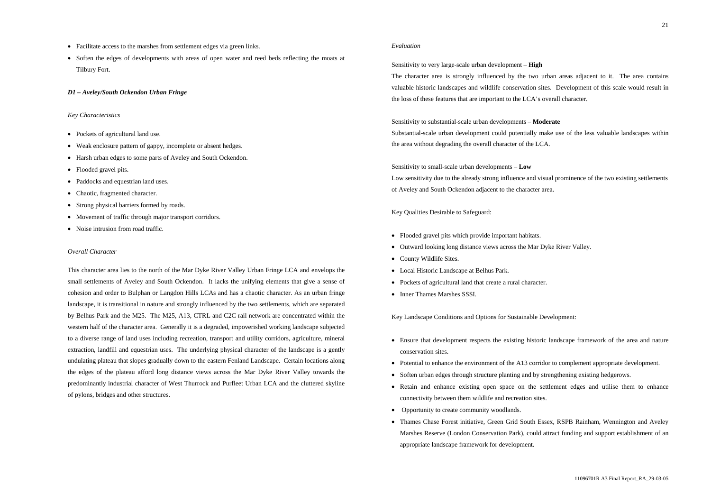- Facilitate access to the marshes from settlement edges via green links.
- Soften the edges of developments with areas of open water and reed beds reflecting the moats at Tilbury Fort.

#### *D1 – Aveley/South Ockendon Urban Fringe*

# *Key Characteristics*

- Pockets of agricultural land use.
- Weak enclosure pattern of gappy, incomplete or absent hedges.
- Harsh urban edges to some parts of Aveley and South Ockendon.
- Flooded gravel pits.
- Paddocks and equestrian land uses.
- Chaotic, fragmented character.
- Strong physical barriers formed by roads.
- Movement of traffic through major transport corridors.
- Noise intrusion from road traffic.

# *Overall Character*

This character area lies to the north of the Mar Dyke River Valley Urban Fringe LCA and envelops the small settlements of Aveley and South Ockendon. It lacks the unifying elements that give a sense of cohesion and order to Bulphan or Langdon Hills LCAs and has a chaotic character. As an urban fringe landscape, it is transitional in nature and strongly influenced by the two settlements, which are separated by Belhus Park and the M25. The M25, A13, CTRL and C2C rail network are concentrated within the western half of the character area. Generally it is a degraded, impoverished working landscape subjected to a diverse range of land uses including recreation, transport and utility corridors, agriculture, mineral extraction, landfill and equestrian uses. The underlying physical character of the landscape is a gently undulating plateau that slopes gradually down to the eastern Fenland Landscape. Certain locations along the edges of the plateau afford long distance views across the Mar Dyke River Valley towards the predominantly industrial character of West Thurrock and Purfleet Urban LCA and the cluttered skyline of pylons, bridges and other structures.

# *Evaluation*

Sensitivity to very large-scale urban development – **High** The character area is strongly influenced by the two urban areas adjacent to it. The area contains valuable historic landscapes and wildlife conservation sites. Development of this scale would result in the loss of these features that are important to the LCA's overall character.

Sensitivity to substantial-scale urban developments – **Moderate** Substantial-scale urban development could potentially make use of the less valuable landscapes within the area without degrading the overall character of the LCA.

Sensitivity to small-scale urban developments – **Low** Low sensitivity due to the already strong influence and visual prominence of the two existing settlements of Aveley and South Ockendon adjacent to the character area.

Key Qualities Desirable to Safeguard:

- Flooded gravel pits which provide important habitats.
- Outward looking long distance views across the Mar Dyke River Valley.
- County Wildlife Sites.
- Local Historic Landscape at Belhus Park.
- Pockets of agricultural land that create a rural character.
- Inner Thames Marshes SSSI.

Key Landscape Conditions and Options for Sustainable Development:

- Ensure that development respects the existing historic landscape framework of the area and nature conservation sites.
- Potential to enhance the environment of the A13 corridor to complement appropriate development.
- Soften urban edges through structure planting and by strengthening existing hedgerows.
- Retain and enhance existing open space on the settlement edges and utilise them to enhance connectivity between them wildlife and recreation sites.
- Opportunity to create community woodlands.
- Thames Chase Forest initiative, Green Grid South Essex, RSPB Rainham, Wennington and Aveley Marshes Reserve (London Conservation Park), could attract funding and support establishment of an appropriate landscape framework for development.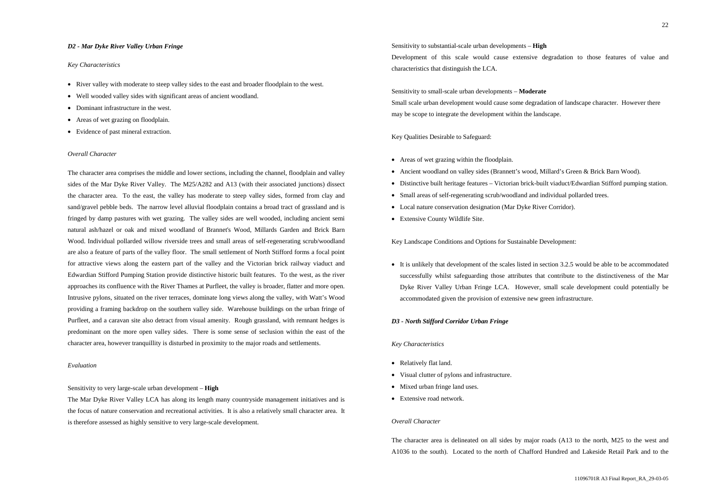#### *D2 - Mar Dyke River Valley Urban Fringe*

#### *Key Characteristics*

- River valley with moderate to steep valley sides to the east and broader floodplain to the west.
- Well wooded valley sides with significant areas of ancient woodland.
- Dominant infrastructure in the west.
- Areas of wet grazing on floodplain.
- Evidence of past mineral extraction.

### *Overall Character*

The character area comprises the middle and lower sections, including the channel, floodplain and valley sides of the Mar Dyke River Valley. The M25/A282 and A13 (with their associated junctions) dissect the character area. To the east, the valley has moderate to steep valley sides, formed from clay and sand/gravel pebble beds. The narrow level alluvial floodplain contains a broad tract of grassland and is fringed by damp pastures with wet grazing. The valley sides are well wooded, including ancient semi natural ash/hazel or oak and mixed woodland of Brannet's Wood, Millards Garden and Brick Barn Wood. Individual pollarded willow riverside trees and small areas of self-regenerating scrub/woodland are also a feature of parts of the valley floor. The small settlement of North Stifford forms a focal point for attractive views along the eastern part of the valley and the Victorian brick railway viaduct and Edwardian Stifford Pumping Station provide distinctive historic built features. To the west, as the river approaches its confluence with the River Thames at Purfleet, the valley is broader, flatter and more open. Intrusive pylons, situated on the river terraces, dominate long views along the valley, with Watt's Wood providing a framing backdrop on the southern valley side. Warehouse buildings on the urban fringe of Purfleet, and a caravan site also detract from visual amenity. Rough grassland, with remnant hedges is predominant on the more open valley sides. There is some sense of seclusion within the east of the character area, however tranquillity is disturbed in proximity to the major roads and settlements.

#### *Evaluation*

#### Sensitivity to very large-scale urban development – **High**

The Mar Dyke River Valley LCA has along its length many countryside management initiatives and is the focus of nature conservation and recreational activities. It is also a relatively small character area. It is therefore assessed as highly sensitive to very large-scale development.

Sensitivity to substantial-scale urban developments – **High** Development of this scale would cause extensive degradation to those features of value and characteristics that distinguish the LCA.

Sensitivity to small-scale urban developments – **Moderate** Small scale urban development would cause some degradation of landscape character. However there may be scope to integrate the development within the landscape.

Key Qualities Desirable to Safeguard:

- Areas of wet grazing within the floodplain.
- Ancient woodland on valley sides (Brannett's wood, Millard's Green & Brick Barn Wood).
- Distinctive built heritage features Victorian brick-built viaduct/Edwardian Stifford pumping station.
- Small areas of self-regenerating scrub/woodland and individual pollarded trees.
- Local nature conservation designation (Mar Dyke River Corridor).
- Extensive County Wildlife Site.

Key Landscape Conditions and Options for Sustainable Development:

successfully whilst safeguarding those attributes that contribute to the distinctiveness of the Mar Dyke River Valley Urban Fringe LCA. However, small scale development could potentially be accommodated given the provision of extensive new green infrastructure.

#### *D3 - North Stifford Corridor Urban Fringe*

#### *Key Characteristics*

- Relatively flat land.
- Visual clutter of pylons and infrastructure.
- Mixed urban fringe land uses.
- Extensive road network.

# *Overall Character*

The character area is delineated on all sides by major roads (A13 to the north, M25 to the west and A1036 to the south). Located to the north of Chafford Hundred and Lakeside Retail Park and to the

• It is unlikely that development of the scales listed in section 3.2.5 would be able to be accommodated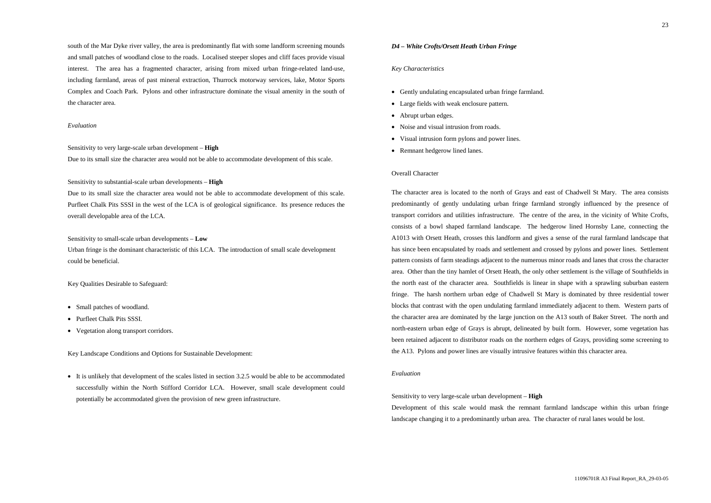south of the Mar Dyke river valley, the area is predominantly flat with some landform screening mounds and small patches of woodland close to the roads. Localised steeper slopes and cliff faces provide visual interest. The area has a fragmented character, arising from mixed urban fringe-related land-use, including farmland, areas of past mineral extraction, Thurrock motorway services, lake, Motor Sports Complex and Coach Park. Pylons and other infrastructure dominate the visual amenity in the south of the character area.

#### *Evaluation*

Sensitivity to very large-scale urban development – **High**

Due to its small size the character area would not be able to accommodate development of this scale.

Sensitivity to substantial-scale urban developments – **High**

• It is unlikely that development of the scales listed in section 3.2.5 would be able to be accommodated successfully within the North Stifford Corridor LCA. However, small scale development could potentially be accommodated given the provision of new green infrastructure.

Due to its small size the character area would not be able to accommodate development of this scale. Purfleet Chalk Pits SSSI in the west of the LCA is of geological significance. Its presence reduces the overall developable area of the LCA.

Sensitivity to small-scale urban developments – **Low**

Urban fringe is the dominant characteristic of this LCA. The introduction of small scale development could be beneficial.

Key Qualities Desirable to Safeguard:

- Small patches of woodland.
- Purfleet Chalk Pits SSSI.
- Vegetation along transport corridors.

Key Landscape Conditions and Options for Sustainable Development:

#### *D4 – White Crofts/Orsett Heath Urban Fringe*

#### *Key Characteristics*

- Gently undulating encapsulated urban fringe farmland.
- Large fields with weak enclosure pattern.
- Abrupt urban edges.
- Noise and visual intrusion from roads.
- Visual intrusion form pylons and power lines.
- Remnant hedgerow lined lanes.

# Overall Character

The character area is located to the north of Grays and east of Chadwell St Mary. The area consists predominantly of gently undulating urban fringe farmland strongly influenced by the presence of transport corridors and utilities infrastructure. The centre of the area, in the vicinity of White Crofts, consists of a bowl shaped farmland landscape. The hedgerow lined Hornsby Lane, connecting the A1013 with Orsett Heath, crosses this landform and gives a sense of the rural farmland landscape that has since been encapsulated by roads and settlement and crossed by pylons and power lines. Settlement pattern consists of farm steadings adjacent to the numerous minor roads and lanes that cross the character area. Other than the tiny hamlet of Orsett Heath, the only other settlement is the village of Southfields in the north east of the character area. Southfields is linear in shape with a sprawling suburban eastern fringe. The harsh northern urban edge of Chadwell St Mary is dominated by three residential tower blocks that contrast with the open undulating farmland immediately adjacent to them. Western parts of the character area are dominated by the large junction on the A13 south of Baker Street. The north and north-eastern urban edge of Grays is abrupt, delineated by built form. However, some vegetation has been retained adjacent to distributor roads on the northern edges of Grays, providing some screening to the A13. Pylons and power lines are visually intrusive features within this character area.

# *Evaluation*

Sensitivity to very large-scale urban development – **High** Development of this scale would mask the remnant farmland landscape within this urban fringe landscape changing it to a predominantly urban area. The character of rural lanes would be lost.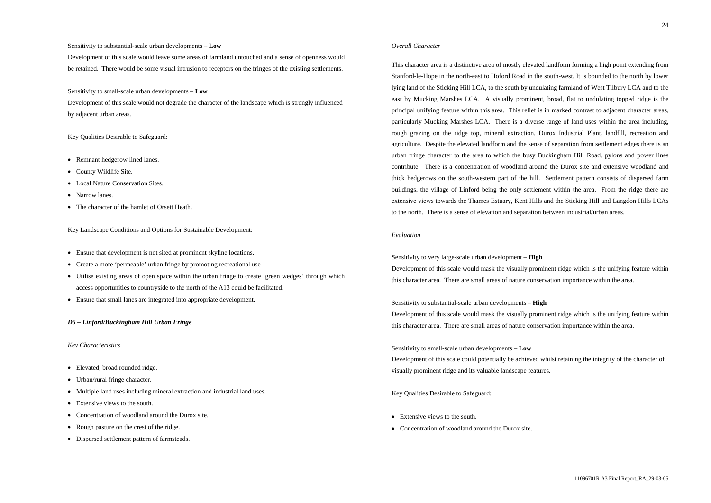#### Sensitivity to substantial-scale urban developments – **Low**

Development of this scale would leave some areas of farmland untouched and a sense of openness would be retained. There would be some visual intrusion to receptors on the fringes of the existing settlements.

# Sensitivity to small-scale urban developments – **Low**

Development of this scale would not degrade the character of the landscape which is strongly influenced by adjacent urban areas.

# Key Qualities Desirable to Safeguard:

- Remnant hedgerow lined lanes.
- County Wildlife Site.
- Local Nature Conservation Sites.
- Narrow lanes.
- The character of the hamlet of Orsett Heath.

Key Landscape Conditions and Options for Sustainable Development:

- Ensure that development is not sited at prominent skyline locations.
- Create a more 'permeable' urban fringe by promoting recreational use
- Utilise existing areas of open space within the urban fringe to create 'green wedges' through which access opportunities to countryside to the north of the A13 could be facilitated.
- Ensure that small lanes are integrated into appropriate development.

# *D5 – Linford/Buckingham Hill Urban Fringe*

# *Key Characteristics*

- Elevated, broad rounded ridge.
- Urban/rural fringe character.
- Multiple land uses including mineral extraction and industrial land uses.
- Extensive views to the south.
- Concentration of woodland around the Durox site.
- Rough pasture on the crest of the ridge.
- Dispersed settlement pattern of farmsteads.

# *Overall Character*

- Extensive views to the south.
- Concentration of woodland around the Durox site.

This character area is a distinctive area of mostly elevated landform forming a high point extending from Stanford-le-Hope in the north-east to Hoford Road in the south-west. It is bounded to the north by lower lying land of the Sticking Hill LCA, to the south by undulating farmland of West Tilbury LCA and to the east by Mucking Marshes LCA. A visually prominent, broad, flat to undulating topped ridge is the principal unifying feature within this area. This relief is in marked contrast to adjacent character areas, particularly Mucking Marshes LCA. There is a diverse range of land uses within the area including, rough grazing on the ridge top, mineral extraction, Durox Industrial Plant, landfill, recreation and agriculture. Despite the elevated landform and the sense of separation from settlement edges there is an urban fringe character to the area to which the busy Buckingham Hill Road, pylons and power lines contribute. There is a concentration of woodland around the Durox site and extensive woodland and thick hedgerows on the south-western part of the hill. Settlement pattern consists of dispersed farm buildings, the village of Linford being the only settlement within the area. From the ridge there are extensive views towards the Thames Estuary, Kent Hills and the Sticking Hill and Langdon Hills LCAs to the north. There is a sense of elevation and separation between industrial/urban areas.

# *Evaluation*

Sensitivity to very large-scale urban development – **High** Development of this scale would mask the visually prominent ridge which is the unifying feature within this character area. There are small areas of nature conservation importance within the area.

Sensitivity to substantial-scale urban developments – **High** Development of this scale would mask the visually prominent ridge which is the unifying feature within this character area. There are small areas of nature conservation importance within the area.

Sensitivity to small-scale urban developments – **Low** Development of this scale could potentially be achieved whilst retaining the integrity of the character of visually prominent ridge and its valuable landscape features.

Key Qualities Desirable to Safeguard: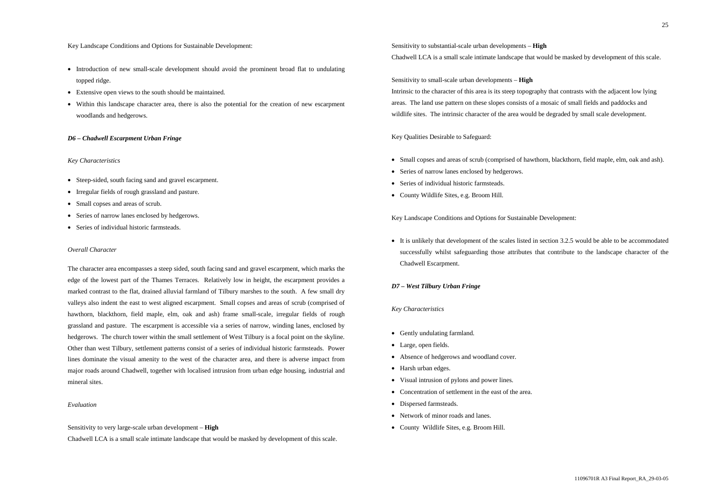#### Key Landscape Conditions and Options for Sustainable Development:

- Introduction of new small-scale development should avoid the prominent broad flat to undulating topped ridge.
- Extensive open views to the south should be maintained.
- Within this landscape character area, there is also the potential for the creation of new escarpment woodlands and hedgerows.

# *D6 – Chadwell Escarpment Urban Fringe*

#### *Key Characteristics*

- Steep-sided, south facing sand and gravel escarpment.
- Irregular fields of rough grassland and pasture.
- Small copses and areas of scrub.
- Series of narrow lanes enclosed by hedgerows.
- Series of individual historic farmsteads.

### *Overall Character*

The character area encompasses a steep sided, south facing sand and gravel escarpment, which marks the edge of the lowest part of the Thames Terraces. Relatively low in height, the escarpment provides a marked contrast to the flat, drained alluvial farmland of Tilbury marshes to the south. A few small dry valleys also indent the east to west aligned escarpment. Small copses and areas of scrub (comprised of hawthorn, blackthorn, field maple, elm, oak and ash) frame small-scale, irregular fields of rough grassland and pasture. The escarpment is accessible via a series of narrow, winding lanes, enclosed by hedgerows. The church tower within the small settlement of West Tilbury is a focal point on the skyline. Other than west Tilbury, settlement patterns consist of a series of individual historic farmsteads. Power lines dominate the visual amenity to the west of the character area, and there is adverse impact from major roads around Chadwell, together with localised intrusion from urban edge housing, industrial and mineral sites.

- 
- Series of narrow lanes enclosed by hedgerows.
- Series of individual historic farmsteads.
- County Wildlife Sites, e.g. Broom Hill.

### *Evaluation*

Sensitivity to very large-scale urban development – **High**

Chadwell LCA is a small scale intimate landscape that would be masked by development of this scale.

Sensitivity to substantial-scale urban developments – **High** Chadwell LCA is a small scale intimate landscape that would be masked by development of this scale.

Sensitivity to small-scale urban developments – **High** Intrinsic to the character of this area is its steep topography that contrasts with the adjacent low lying areas. The land use pattern on these slopes consists of a mosaic of small fields and paddocks and wildlife sites. The intrinsic character of the area would be degraded by small scale development.

Key Qualities Desirable to Safeguard:

• Small copses and areas of scrub (comprised of hawthorn, blackthorn, field maple, elm, oak and ash).

Key Landscape Conditions and Options for Sustainable Development:

• It is unlikely that development of the scales listed in section 3.2.5 would be able to be accommodated successfully whilst safeguarding those attributes that contribute to the landscape character of the Chadwell Escarpment.

#### *D7 – West Tilbury Urban Fringe*

- Gently undulating farmland.
- Large, open fields.
- Absence of hedgerows and woodland cover.
- Harsh urban edges.
- Visual intrusion of pylons and power lines.
- Concentration of settlement in the east of the area.
- Dispersed farmsteads.
- Network of minor roads and lanes.
- County Wildlife Sites, e.g. Broom Hill.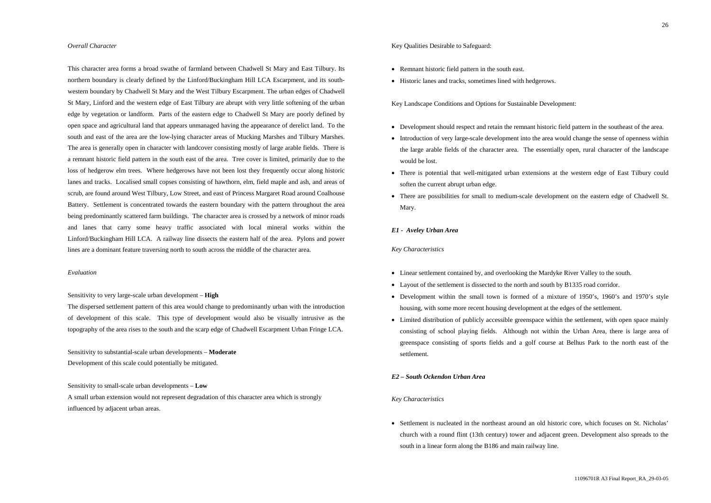## *Overall Character*

This character area forms a broad swathe of farmland between Chadwell St Mary and East Tilbury. Its northern boundary is clearly defined by the Linford/Buckingham Hill LCA Escarpment, and its southwestern boundary by Chadwell St Mary and the West Tilbury Escarpment. The urban edges of Chadwell St Mary, Linford and the western edge of East Tilbury are abrupt with very little softening of the urban edge by vegetation or landform. Parts of the eastern edge to Chadwell St Mary are poorly defined by open space and agricultural land that appears unmanaged having the appearance of derelict land. To the south and east of the area are the low-lying character areas of Mucking Marshes and Tilbury Marshes. The area is generally open in character with landcover consisting mostly of large arable fields. There is a remnant historic field pattern in the south east of the area. Tree cover is limited, primarily due to the loss of hedgerow elm trees. Where hedgerows have not been lost they frequently occur along historic lanes and tracks. Localised small copses consisting of hawthorn, elm, field maple and ash, and areas of scrub, are found around West Tilbury, Low Street, and east of Princess Margaret Road around Coalhouse Battery. Settlement is concentrated towards the eastern boundary with the pattern throughout the area being predominantly scattered farm buildings. The character area is crossed by a network of minor roads and lanes that carry some heavy traffic associated with local mineral works within the Linford/Buckingham Hill LCA. A railway line dissects the eastern half of the area. Pylons and power lines are a dominant feature traversing north to south across the middle of the character area.

- Remnant historic field pattern in the south east.
- Historic lanes and tracks, sometimes lined with hedgerows.

#### *Evaluation*

Sensitivity to very large-scale urban development – **High**

The dispersed settlement pattern of this area would change to predominantly urban with the introduction of development of this scale. This type of development would also be visually intrusive as the topography of the area rises to the south and the scarp edge of Chadwell Escarpment Urban Fringe LCA.

> • Settlement is nucleated in the northeast around an old historic core, which focuses on St. Nicholas' church with a round flint (13th century) tower and adjacent green. Development also spreads to the south in a linear form along the B186 and main railway line.

Sensitivity to substantial-scale urban developments – **Moderate** Development of this scale could potentially be mitigated.

Sensitivity to small-scale urban developments – **Low**

A small urban extension would not represent degradation of this character area which is strongly influenced by adjacent urban areas.

Key Qualities Desirable to Safeguard:

Key Landscape Conditions and Options for Sustainable Development:

- Development should respect and retain the remnant historic field pattern in the southeast of the area.
- Introduction of very large-scale development into the area would change the sense of openness within the large arable fields of the character area. The essentially open, rural character of the landscape would be lost.
- There is potential that well-mitigated urban extensions at the western edge of East Tilbury could soften the current abrupt urban edge.
- There are possibilities for small to medium-scale development on the eastern edge of Chadwell St. Mary.

#### *E1 - Aveley Urban Area*

#### *Key Characteristics*

- Linear settlement contained by, and overlooking the Mardyke River Valley to the south.
- Layout of the settlement is dissected to the north and south by B1335 road corridor.
- Development within the small town is formed of a mixture of 1950's, 1960's and 1970's style housing, with some more recent housing development at the edges of the settlement.
- Limited distribution of publicly accessible greenspace within the settlement, with open space mainly consisting of school playing fields. Although not within the Urban Area, there is large area of greenspace consisting of sports fields and a golf course at Belhus Park to the north east of the settlement.

# *E2 – South Ockendon Urban Area*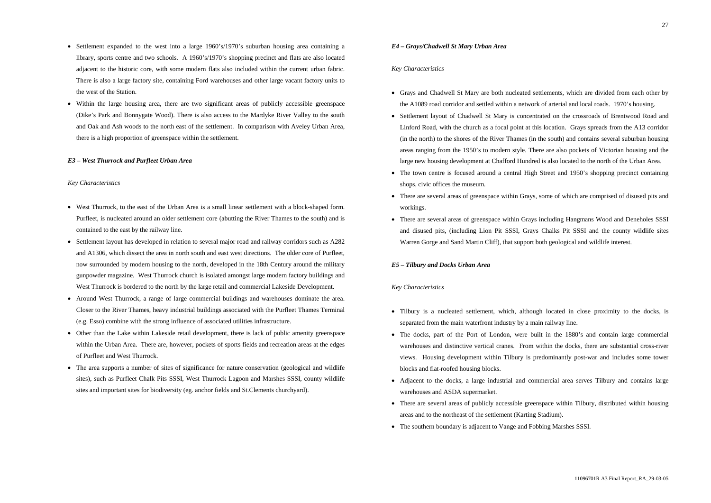- Settlement expanded to the west into a large 1960's/1970's suburban housing area containing a library, sports centre and two schools. A 1960's/1970's shopping precinct and flats are also located adjacent to the historic core, with some modern flats also included within the current urban fabric. There is also a large factory site, containing Ford warehouses and other large vacant factory units to the west of the Station.
- Within the large housing area, there are two significant areas of publicly accessible greenspace (Dike's Park and Bonnygate Wood). There is also access to the Mardyke River Valley to the south and Oak and Ash woods to the north east of the settlement. In comparison with Aveley Urban Area, there is a high proportion of greenspace within the settlement.

# *E3 – West Thurrock and Purfleet Urban Area*

#### *Key Characteristics*

- West Thurrock, to the east of the Urban Area is a small linear settlement with a block-shaped form. Purfleet, is nucleated around an older settlement core (abutting the River Thames to the south) and is contained to the east by the railway line.
- Settlement layout has developed in relation to several major road and railway corridors such as A282 and A1306, which dissect the area in north south and east west directions. The older core of Purfleet, now surrounded by modern housing to the north, developed in the 18th Century around the military gunpowder magazine. West Thurrock church is isolated amongst large modern factory buildings and West Thurrock is bordered to the north by the large retail and commercial Lakeside Development.
- Around West Thurrock, a range of large commercial buildings and warehouses dominate the area. Closer to the River Thames, heavy industrial buildings associated with the Purfleet Thames Terminal (e.g. Esso) combine with the strong influence of associated utilities infrastructure.
- Other than the Lake within Lakeside retail development, there is lack of public amenity greenspace within the Urban Area. There are, however, pockets of sports fields and recreation areas at the edges of Purfleet and West Thurrock.
- The area supports a number of sites of significance for nature conservation (geological and wildlife sites), such as Purfleet Chalk Pits SSSI, West Thurrock Lagoon and Marshes SSSI, county wildlife sites and important sites for biodiversity (eg. anchor fields and St.Clements churchyard).
- Tilbury is a nucleated settlement, which, although located in close proximity to the docks, is separated from the main waterfront industry by a main railway line.
- The docks, part of the Port of London, were built in the 1880's and contain large commercial warehouses and distinctive vertical cranes. From within the docks, there are substantial cross-river views. Housing development within Tilbury is predominantly post-war and includes some tower blocks and flat-roofed housing blocks.
- Adjacent to the docks, a large industrial and commercial area serves Tilbury and contains large warehouses and ASDA supermarket.
- There are several areas of publicly accessible greenspace within Tilbury, distributed within housing areas and to the northeast of the settlement (Karting Stadium).
- The southern boundary is adjacent to Vange and Fobbing Marshes SSSI.

• The town centre is focused around a central High Street and 1950's shopping precinct containing

# *E4 – Grays/Chadwell St Mary Urban Area*

#### *Key Characteristics*

- Grays and Chadwell St Mary are both nucleated settlements, which are divided from each other by the A1089 road corridor and settled within a network of arterial and local roads. 1970's housing.
- Settlement layout of Chadwell St Mary is concentrated on the crossroads of Brentwood Road and Linford Road, with the church as a focal point at this location. Grays spreads from the A13 corridor (in the north) to the shores of the River Thames (in the south) and contains several suburban housing areas ranging from the 1950's to modern style. There are also pockets of Victorian housing and the large new housing development at Chafford Hundred is also located to the north of the Urban Area.
- shops, civic offices the museum.
- There are several areas of greenspace within Grays, some of which are comprised of disused pits and workings.
- There are several areas of greenspace within Grays including Hangmans Wood and Deneholes SSSI and disused pits, (including Lion Pit SSSI, Grays Chalks Pit SSSI and the county wildlife sites Warren Gorge and Sand Martin Cliff), that support both geological and wildlife interest.

#### *E5 – Tilbury and Docks Urban Area*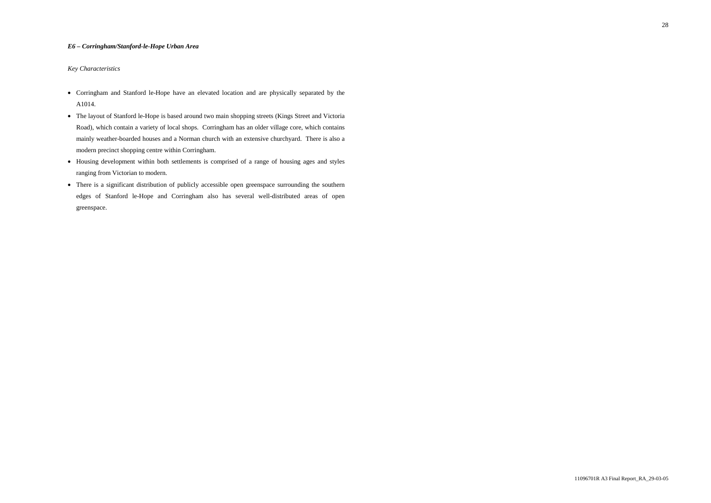# *E6 – Corringham/Stanford-le-Hope Urban Area*

- Corringham and Stanford le-Hope have an elevated location and are physically separated by the A1014.
- The layout of Stanford le-Hope is based around two main shopping streets (Kings Street and Victoria Road), which contain a variety of local shops. Corringham has an older village core, which contains mainly weather-boarded houses and a Norman church with an extensive churchyard. There is also a modern precinct shopping centre within Corringham.
- Housing development within both settlements is comprised of a range of housing ages and styles ranging from Victorian to modern.
- There is a significant distribution of publicly accessible open greenspace surrounding the southern edges of Stanford le-Hope and Corringham also has several well-distributed areas of open greenspace.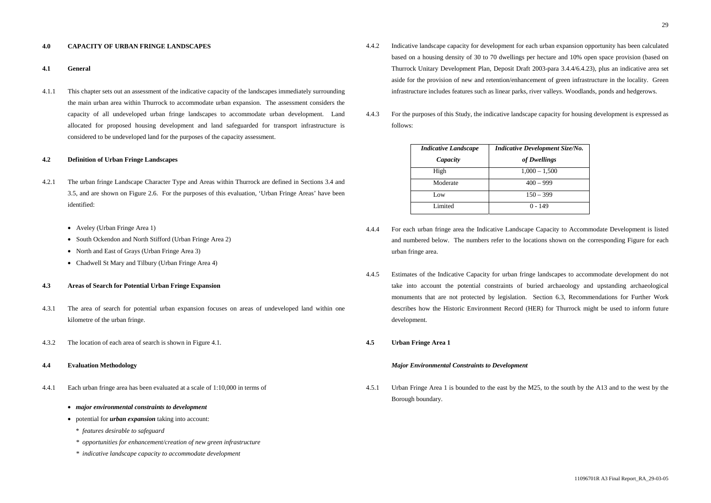# **4.0 CAPACITY OF URBAN FRINGE LANDSCAPES**

#### **4.1 General**

- 4.2.1 The urban fringe Landscape Character Type and Areas within Thurrock are defined in Sections 3.4 and 3.5, and are shown on Figure 2.6. For the purposes of this evaluation, 'Urban Fringe Areas' have been identified:
	- Aveley (Urban Fringe Area 1)
	- South Ockendon and North Stifford (Urban Fringe Area 2)
	- North and East of Grays (Urban Fringe Area 3)
	- Chadwell St Mary and Tilbury (Urban Fringe Area 4)

4.1.1 This chapter sets out an assessment of the indicative capacity of the landscapes immediately surrounding the main urban area within Thurrock to accommodate urban expansion. The assessment considers the capacity of all undeveloped urban fringe landscapes to accommodate urban development. Land allocated for proposed housing development and land safeguarded for transport infrastructure is considered to be undeveloped land for the purposes of the capacity assessment.

#### **4.2 Definition of Urban Fringe Landscapes**

#### **4.3 Areas of Search for Potential Urban Fringe Expansion**

- 4.3.1 The area of search for potential urban expansion focuses on areas of undeveloped land within one kilometre of the urban fringe.
- 4.3.2 The location of each area of search is shown in Figure 4.1.

#### **4.4 Evaluation Methodology**

4.4.1 Each urban fringe area has been evaluated at a scale of 1:10,000 in terms of

#### • *major environmental constraints to development*

- potential for *urban expansion* taking into account:
	- \* *features desirable to safeguard*
	- *\* opportunities for enhancement/creation of new green infrastructure*
	- *\* indicative landscape capacity to accommodate development*
- 4.4.2 Indicative landscape capacity for development for each urban expansion opportunity has been calculated based on a housing density of 30 to 70 dwellings per hectare and 10% open space provision (based on Thurrock Unitary Development Plan, Deposit Draft 2003-para 3.4.4/6.4.23), plus an indicative area set aside for the provision of new and retention/enhancement of green infrastructure in the locality. Green infrastructure includes features such as linear parks, river valleys. Woodlands, ponds and hedgerows.
- 4.4.3 For the purposes of this Study, the indicative landscape capacity for housing development is expressed as follows:

| <b>Indicative Landscape</b> | <b>Indicative Development Size/No.</b> |
|-----------------------------|----------------------------------------|
| Capacity                    | of Dwellings                           |
| High                        | $1,000 - 1,500$                        |
| Moderate                    | $400 - 999$                            |
| Low.                        | $150 - 399$                            |
| Limited                     | $0 - 149$                              |

- 4.4.4 For each urban fringe area the Indicative Landscape Capacity to Accommodate Development is listed and numbered below. The numbers refer to the locations shown on the corresponding Figure for each urban fringe area.
- 4.4.5 Estimates of the Indicative Capacity for urban fringe landscapes to accommodate development do not take into account the potential constraints of buried archaeology and upstanding archaeological monuments that are not protected by legislation. Section 6.3, Recommendations for Further Work describes how the Historic Environment Record (HER) for Thurrock might be used to inform future development.
- **4.5 Urban Fringe Area 1**

#### *Major Environmental Constraints to Development*

4.5.1 Urban Fringe Area 1 is bounded to the east by the M25, to the south by the A13 and to the west by the Borough boundary.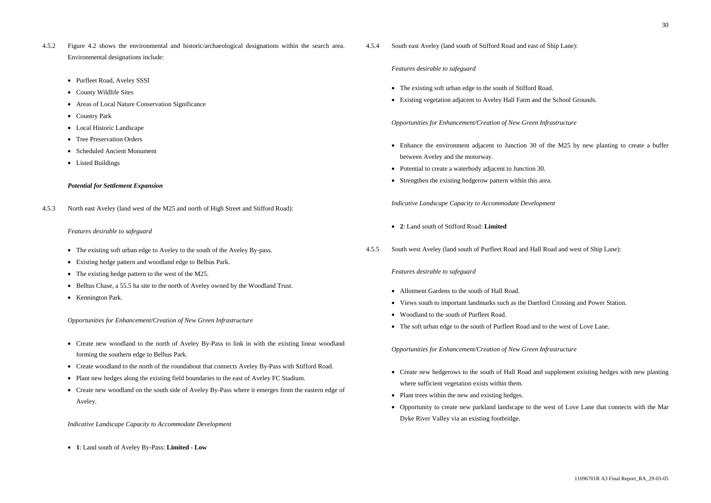4.5.2 Figure 4.2 shows the environmental and historic/archaeological designations within the search area. Environmental designations include:

- Purfleet Road, Aveley SSSI
- County Wildlife Sites
- Areas of Local Nature Conservation Significance
- Country Park
- Local Historic Landscape
- Tree Preservation Orders
- Scheduled Ancient Monument
- Listed Buildings

- The existing soft urban edge to Aveley to the south of the Aveley By-pass.
- Existing hedge pattern and woodland edge to Belhus Park.
- The existing hedge pattern to the west of the M25.
- Belhus Chase, a 55.5 ha site to the north of Aveley owned by the Woodland Trust.
- Kennington Park.

# *Potential for Settlement Expansion*

4.5.3 North east Aveley (land west of the M25 and north of High Street and Stifford Road):

# *Features desirable to safeguard*

- Create new woodland to the north of Aveley By-Pass to link in with the existing linear woodland forming the southern edge to Belhus Park.
- Create woodland to the north of the roundabout that connects Aveley By-Pass with Stifford Road.
- Plant new hedges along the existing field boundaries to the east of Aveley FC Stadium.
- Create new woodland on the south side of Aveley By-Pass where it emerges from the eastern edge of Aveley.

# *Opportunities for Enhancement/Creation of New Green Infrastructure*

- Enhance the environment adjacent to Junction 30 of the M25 by new planting to create a buffer between Aveley and the motorway.
- Potential to create a waterbody adjacent to Junction 30.
- Strengthen the existing hedgerow pattern within this area.

*Indicative Landscape Capacity to Accommodate Development*

• **1**: Land south of Aveley By-Pass: **Limited - Low**

- Create new hedgerows to the south of Hall Road and supplement existing hedges with new planting where sufficient vegetation exists within them.
- Plant trees within the new and existing hedges.
- Opportunity to create new parkland landscape to the west of Love Lane that connects with the Mar Dyke River Valley via an existing footbridge.

4.5.4 South east Aveley (land south of Stifford Road and east of Ship Lane):

# *Features desirable to safeguard*

- The existing soft urban edge to the south of Stifford Road.
- Existing vegetation adjacent to Aveley Hall Farm and the School Grounds.

# *Opportunities for Enhancement/Creation of New Green Infrastructure*

*Indicative Landscape Capacity to Accommodate Development*

- **2**: Land south of Stifford Road: **Limited**
- 4.5.5 South west Aveley (land south of Purfleet Road and Hall Road and west of Ship Lane):

# *Features desirable to safeguard*

- Allotment Gardens to the south of Hall Road.
- Views south to important landmarks such as the Dartford Crossing and Power Station.
- Woodland to the south of Purfleet Road.
- The soft urban edge to the south of Purfleet Road and to the west of Love Lane.

*Opportunities for Enhancement/Creation of New Green Infrastructure*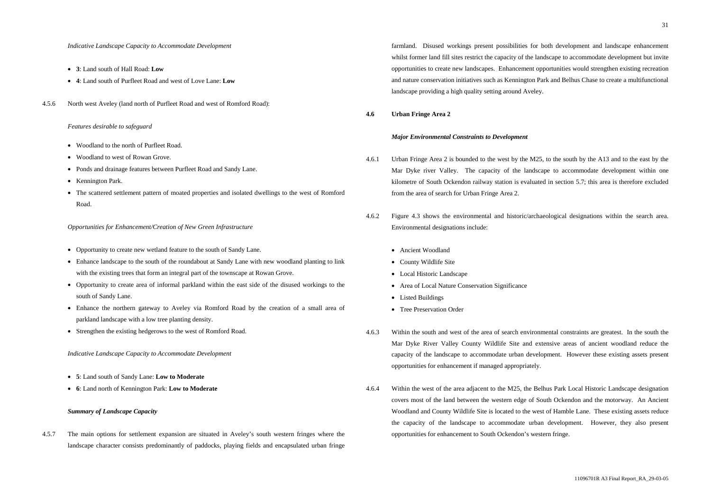- **3**: Land south of Hall Road: **Low**
- **4**: Land south of Purfleet Road and west of Love Lane: **Low**
- 4.5.6 North west Aveley (land north of Purfleet Road and west of Romford Road):

#### *Features desirable to safeguard*

- Woodland to the north of Purfleet Road.
- Woodland to west of Rowan Grove.
- Ponds and drainage features between Purfleet Road and Sandy Lane.
- Kennington Park.
- The scattered settlement pattern of moated properties and isolated dwellings to the west of Romford Road.

#### *Opportunities for Enhancement/Creation of New Green Infrastructure*

- Opportunity to create new wetland feature to the south of Sandy Lane.
- Enhance landscape to the south of the roundabout at Sandy Lane with new woodland planting to link with the existing trees that form an integral part of the townscape at Rowan Grove.
- Opportunity to create area of informal parkland within the east side of the disused workings to the south of Sandy Lane.
- Enhance the northern gateway to Aveley via Romford Road by the creation of a small area of parkland landscape with a low tree planting density.
- Strengthen the existing hedgerows to the west of Romford Road.

*Indicative Landscape Capacity to Accommodate Development*

- **5**: Land south of Sandy Lane: **Low to Moderate**
- **6**: Land north of Kennington Park: **Low to Moderate**

### *Summary of Landscape Capacity*

4.5.7 The main options for settlement expansion are situated in Aveley's south western fringes where the landscape character consists predominantly of paddocks, playing fields and encapsulated urban fringe

farmland. Disused workings present possibilities for both development and landscape enhancement whilst former land fill sites restrict the capacity of the landscape to accommodate development but invite opportunities to create new landscapes. Enhancement opportunities would strengthen existing recreation and nature conservation initiatives such as Kennington Park and Belhus Chase to create a multifunctional landscape providing a high quality setting around Aveley.

# **4.6 Urban Fringe Area 2**

# *Major Environmental Constraints to Development*

- 4.6.1 Urban Fringe Area 2 is bounded to the west by the M25, to the south by the A13 and to the east by the Mar Dyke river Valley. The capacity of the landscape to accommodate development within one kilometre of South Ockendon railway station is evaluated in section 5.7; this area is therefore excluded from the area of search for Urban Fringe Area 2.
- 4.6.2 Figure 4.3 shows the environmental and historic/archaeological designations within the search area. Environmental designations include:
	- Ancient Woodland
	- County Wildlife Site
	- Local Historic Landscape
	- Area of Local Nature Conservation Significance
	- Listed Buildings
	- Tree Preservation Order
- 4.6.3 Within the south and west of the area of search environmental constraints are greatest. In the south the Mar Dyke River Valley County Wildlife Site and extensive areas of ancient woodland reduce the capacity of the landscape to accommodate urban development. However these existing assets present opportunities for enhancement if managed appropriately.
- 4.6.4 Within the west of the area adjacent to the M25, the Belhus Park Local Historic Landscape designation covers most of the land between the western edge of South Ockendon and the motorway. An Ancient Woodland and County Wildlife Site is located to the west of Hamble Lane. These existing assets reduce the capacity of the landscape to accommodate urban development. However, they also present opportunities for enhancement to South Ockendon's western fringe.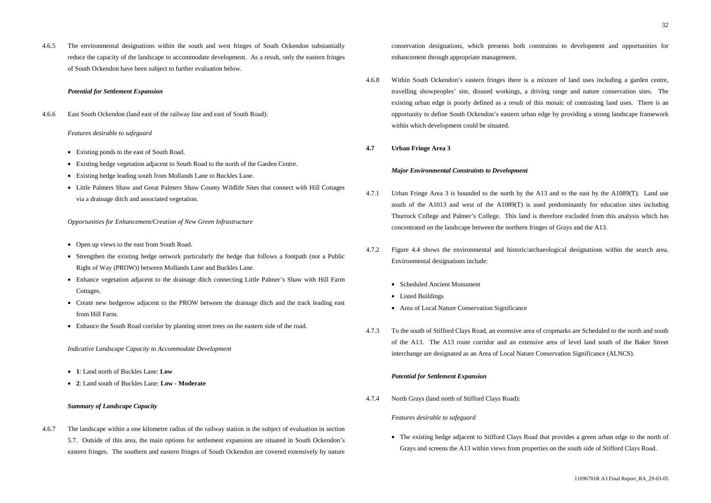4.6.5 The environmental designations within the south and west fringes of South Ockendon substantially reduce the capacity of the landscape to accommodate development. As a result, only the eastern fringes of South Ockendon have been subject to further evaluation below.

#### *Potential for Settlement Expansion*

4.6.6 East South Ockendon (land east of the railway line and east of South Road):

#### *Features desirable to safeguard*

- Open up views to the east from South Road.
- Strengthen the existing hedge network particularly the hedge that follows a footpath (not a Public Right of Way (PROW)) between Mollands Lane and Buckles Lane.
- Enhance vegetation adjacent to the drainage ditch connecting Little Palmer's Shaw with Hill Farm Cottages.
- Create new hedgerow adjacent to the PROW between the drainage ditch and the track leading east from Hill Farm.
- Enhance the South Road corridor by planting street trees on the eastern side of the road.
- Existing ponds to the east of South Road.
- Existing hedge vegetation adjacent to South Road to the north of the Garden Centre.
- Existing hedge leading south from Mollands Lane to Buckles Lane.
- Little Palmers Shaw and Great Palmers Shaw County Wildlife Sites that connect with Hill Cottages via a drainage ditch and associated vegetation.

#### *Opportunities for Enhancement/Creation of New Green Infrastructure*

*Indicative Landscape Capacity to Accommodate Development*

- **1**: Land north of Buckles Lane: **Low**
- **2**: Land south of Buckles Lane: **Low Moderate**

### *Summary of Landscape Capacity*

4.6.7 The landscape within a one kilometre radius of the railway station is the subject of evaluation in section 5.7. Outside of this area, the main options for settlement expansion are situated in South Ockendon's eastern fringes. The southern and eastern fringes of South Ockendon are covered extensively by nature

• The existing hedge adjacent to Stifford Clays Road that provides a green urban edge to the north of Grays and screens the A13 within views from properties on the south side of Stifford Clays Road.

conservation designations, which presents both constraints to development and opportunities for enhancement through appropriate management.

4.6.8 Within South Ockendon's eastern fringes there is a mixture of land uses including a garden centre, travelling showpeoples' site, disused workings, a driving range and nature conservation sites. The existing urban edge is poorly defined as a result of this mosaic of contrasting land uses. There is an opportunity to define South Ockendon's eastern urban edge by providing a strong landscape framework within which development could be situated.

#### **4.7 Urban Fringe Area 3**

#### *Major Environmental Constraints to Development*

- 4.7.1 Urban Fringe Area 3 is bounded to the north by the A13 and to the east by the A1089(T). Land use south of the A1013 and west of the A1089(T) is used predominantly for education sites including Thurrock College and Palmer's College. This land is therefore excluded from this analysis which has concentrated on the landscape between the northern fringes of Grays and the A13.
- 4.7.2 Figure 4.4 shows the environmental and historic/archaeological designations within the search area. Environmental designations include:
	- Scheduled Ancient Monument
	- Listed Buildings
	- Area of Local Nature Conservation Significance
- 4.7.3 To the south of Stifford Clays Road, an extensive area of cropmarks are Scheduled to the north and south of the A13. The A13 route corridor and an extensive area of level land south of the Baker Street interchange are designated as an Area of Local Nature Conservation Significance (ALNCS).

# *Potential for Settlement Expansion*

4.7.4 North Grays (land north of Stifford Clays Road):

#### *Features desirable to safeguard*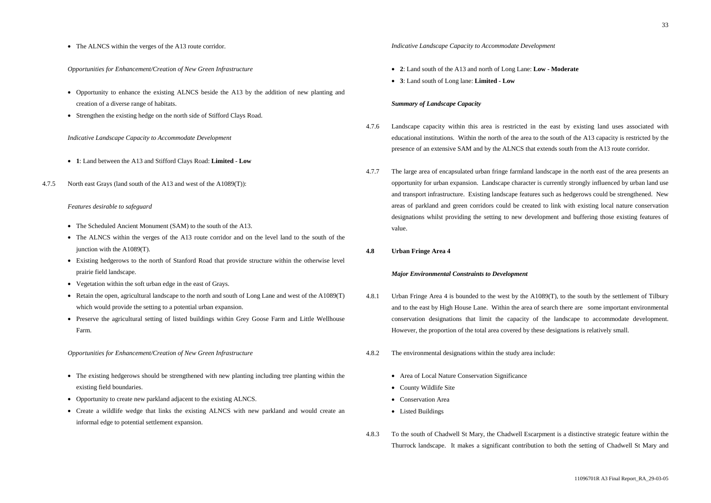- Opportunity to enhance the existing ALNCS beside the A13 by the addition of new planting and creation of a diverse range of habitats.
- Strengthen the existing hedge on the north side of Stifford Clays Road.

• The ALNCS within the verges of the A13 route corridor.

# *Opportunities for Enhancement/Creation of New Green Infrastructure*

### *Indicative Landscape Capacity to Accommodate Development*

- **1**: Land between the A13 and Stifford Clays Road: **Limited Low**
- 4.7.5 North east Grays (land south of the A13 and west of the A1089(T)):

### *Features desirable to safeguard*

- The Scheduled Ancient Monument (SAM) to the south of the A13.
- The ALNCS within the verges of the A13 route corridor and on the level land to the south of the junction with the A1089(T).
- Existing hedgerows to the north of Stanford Road that provide structure within the otherwise level prairie field landscape.
- Vegetation within the soft urban edge in the east of Grays.
- Retain the open, agricultural landscape to the north and south of Long Lane and west of the A1089(T) which would provide the setting to a potential urban expansion.
- Preserve the agricultural setting of listed buildings within Grey Goose Farm and Little Wellhouse Farm.

*Opportunities for Enhancement/Creation of New Green Infrastructure*

- The existing hedgerows should be strengthened with new planting including tree planting within the existing field boundaries.
- Opportunity to create new parkland adjacent to the existing ALNCS.
- Create a wildlife wedge that links the existing ALNCS with new parkland and would create an informal edge to potential settlement expansion.

# *Indicative Landscape Capacity to Accommodate Development*

- **2**: Land south of the A13 and north of Long Lane: **Low Moderate**
- **3**: Land south of Long lane: **Limited Low**

# *Summary of Landscape Capacity*

- 4.7.6 Landscape capacity within this area is restricted in the east by existing land uses associated with educational institutions. Within the north of the area to the south of the A13 capacity is restricted by the presence of an extensive SAM and by the ALNCS that extends south from the A13 route corridor.
- 4.7.7 The large area of encapsulated urban fringe farmland landscape in the north east of the area presents an opportunity for urban expansion. Landscape character is currently strongly influenced by urban land use and transport infrastructure. Existing landscape features such as hedgerows could be strengthened. New areas of parkland and green corridors could be created to link with existing local nature conservation designations whilst providing the setting to new development and buffering those existing features of value.
- **4.8 Urban Fringe Area 4**

# *Major Environmental Constraints to Development*

- 4.8.1 Urban Fringe Area 4 is bounded to the west by the A1089(T), to the south by the settlement of Tilbury and to the east by High House Lane. Within the area of search there are some important environmental conservation designations that limit the capacity of the landscape to accommodate development. However, the proportion of the total area covered by these designations is relatively small.
- 4.8.2 The environmental designations within the study area include:
	- Area of Local Nature Conservation Significance
	- County Wildlife Site
	- Conservation Area
	- Listed Buildings
- 4.8.3 To the south of Chadwell St Mary, the Chadwell Escarpment is a distinctive strategic feature within the Thurrock landscape. It makes a significant contribution to both the setting of Chadwell St Mary and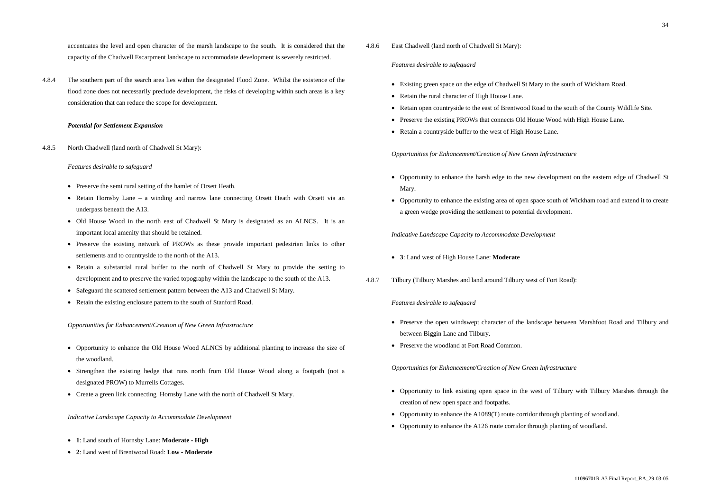accentuates the level and open character of the marsh landscape to the south. It is considered that the capacity of the Chadwell Escarpment landscape to accommodate development is severely restricted.

- Preserve the semi rural setting of the hamlet of Orsett Heath.
- Retain Hornsby Lane a winding and narrow lane connecting Orsett Heath with Orsett via an underpass beneath the A13.
- Old House Wood in the north east of Chadwell St Mary is designated as an ALNCS. It is an important local amenity that should be retained.
- Preserve the existing network of PROWs as these provide important pedestrian links to other settlements and to countryside to the north of the A13.
- Retain a substantial rural buffer to the north of Chadwell St Mary to provide the setting to development and to preserve the varied topography within the landscape to the south of the A13.
- Safeguard the scattered settlement pattern between the A13 and Chadwell St Mary.
- Retain the existing enclosure pattern to the south of Stanford Road.

4.8.4 The southern part of the search area lies within the designated Flood Zone. Whilst the existence of the flood zone does not necessarily preclude development, the risks of developing within such areas is a key consideration that can reduce the scope for development.

# *Potential for Settlement Expansion*

4.8.5 North Chadwell (land north of Chadwell St Mary):

### *Features desirable to safeguard*

# *Opportunities for Enhancement/Creation of New Green Infrastructure*

- Preserve the open windswept character of the landscape between Marshfoot Road and Tilbury and between Biggin Lane and Tilbury.
- Preserve the woodland at Fort Road Common.

- Opportunity to link existing open space in the west of Tilbury with Tilbury Marshes through the creation of new open space and footpaths.
- Opportunity to enhance the A1089(T) route corridor through planting of woodland.
- Opportunity to enhance the A126 route corridor through planting of woodland.

- Opportunity to enhance the Old House Wood ALNCS by additional planting to increase the size of the woodland.
- Strengthen the existing hedge that runs north from Old House Wood along a footpath (not a designated PROW) to Murrells Cottages.
- Create a green link connecting Hornsby Lane with the north of Chadwell St Mary.

#### *Indicative Landscape Capacity to Accommodate Development*

- **1**: Land south of Hornsby Lane: **Moderate High**
- **2**: Land west of Brentwood Road: **Low Moderate**

# 4.8.6 East Chadwell (land north of Chadwell St Mary):

# *Features desirable to safeguard*

- Existing green space on the edge of Chadwell St Mary to the south of Wickham Road.
- Retain the rural character of High House Lane.
- Retain open countryside to the east of Brentwood Road to the south of the County Wildlife Site.
- Preserve the existing PROWs that connects Old House Wood with High House Lane.
- Retain a countryside buffer to the west of High House Lane.

# *Opportunities for Enhancement/Creation of New Green Infrastructure*

- Opportunity to enhance the harsh edge to the new development on the eastern edge of Chadwell St Mary.
- Opportunity to enhance the existing area of open space south of Wickham road and extend it to create a green wedge providing the settlement to potential development.

*Indicative Landscape Capacity to Accommodate Development*

- **3**: Land west of High House Lane: **Moderate**
- 4.8.7 Tilbury (Tilbury Marshes and land around Tilbury west of Fort Road):

# *Features desirable to safeguard*

*Opportunities for Enhancement/Creation of New Green Infrastructure*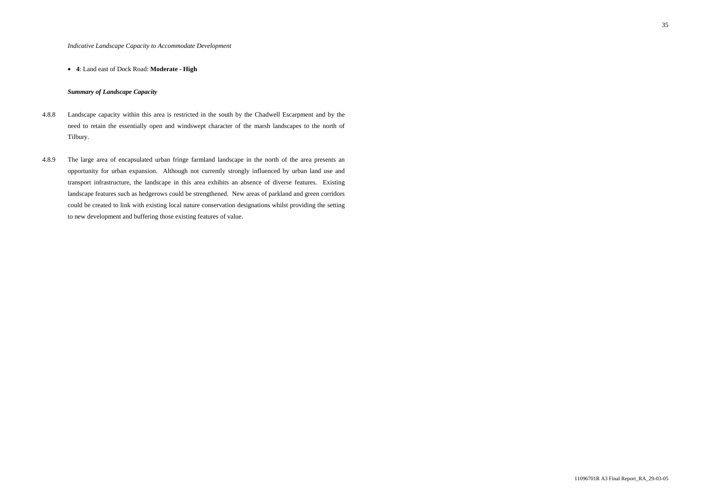# • **4**: Land east of Dock Road: **Moderate - High**

# *Summary of Landscape Capacity*

- 4.8.8 Landscape capacity within this area is restricted in the south by the Chadwell Escarpment and by the need to retain the essentially open and windswept character of the marsh landscapes to the north of Tilbury.
- 4.8.9 The large area of encapsulated urban fringe farmland landscape in the north of the area presents an opportunity for urban expansion. Although not currently strongly influenced by urban land use and transport infrastructure, the landscape in this area exhibits an absence of diverse features. Existing landscape features such as hedgerows could be strengthened. New areas of parkland and green corridors could be created to link with existing local nature conservation designations whilst providing the setting to new development and buffering those existing features of value.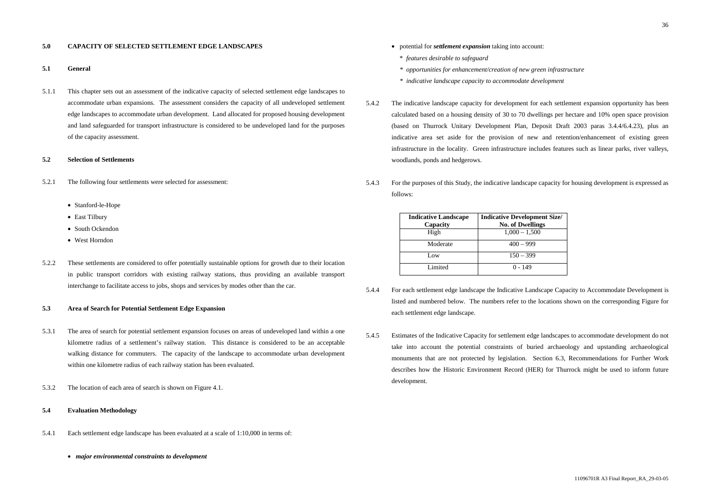### **5.0 CAPACITY OF SELECTED SETTLEMENT EDGE LANDSCAPES**

### **5.1 General**

5.1.1 This chapter sets out an assessment of the indicative capacity of selected settlement edge landscapes to accommodate urban expansions. The assessment considers the capacity of all undeveloped settlement edge landscapes to accommodate urban development. Land allocated for proposed housing development and land safeguarded for transport infrastructure is considered to be undeveloped land for the purposes of the capacity assessment.

#### **5.2 Selection of Settlements**

- 5.2.1 The following four settlements were selected for assessment:
	- Stanford-le-Hope
	- East Tilbury
	- South Ockendon
	- West Horndon
- 5.2.2 These settlements are considered to offer potentially sustainable options for growth due to their location in public transport corridors with existing railway stations, thus providing an available transport interchange to facilitate access to jobs, shops and services by modes other than the car.

#### **5.3 Area of Search for Potential Settlement Edge Expansion**

- 5.3.1 The area of search for potential settlement expansion focuses on areas of undeveloped land within a one kilometre radius of a settlement's railway station. This distance is considered to be an acceptable walking distance for commuters. The capacity of the landscape to accommodate urban development within one kilometre radius of each railway station has been evaluated.
- 5.3.2 The location of each area of search is shown on Figure 4.1.

# **5.4 Evaluation Methodology**

- 5.4.1 Each settlement edge landscape has been evaluated at a scale of 1:10,000 in terms of:
	- *major environmental constraints to development*
- potential for *settlement expansion* taking into account:
	- \* *features desirable to safeguard*
	- *\* opportunities for enhancement/creation of new green infrastructure*
- *\* indicative landscape capacity to accommodate development*
- 5.4.2 The indicative landscape capacity for development for each settlement expansion opportunity has been calculated based on a housing density of 30 to 70 dwellings per hectare and 10% open space provision (based on Thurrock Unitary Development Plan, Deposit Draft 2003 paras 3.4.4/6.4.23), plus an indicative area set aside for the provision of new and retention/enhancement of existing green infrastructure in the locality. Green infrastructure includes features such as linear parks, river valleys, woodlands, ponds and hedgerows.
- 5.4.3 For the purposes of this Study, the indicative landscape capacity for housing development is expressed as follows:



| <b>Indicative Landscape</b><br>Capacity | <b>Indicative Developme</b><br><b>No. of Dwelling</b> |
|-----------------------------------------|-------------------------------------------------------|
| High                                    | $1,000 - 1,500$                                       |
| Moderate                                | $400 - 999$                                           |
| Low                                     | $150 - 399$                                           |
| Limited                                 | $0 - 149$                                             |

- 5.4.4 For each settlement edge landscape the Indicative Landscape Capacity to Accommodate Development is listed and numbered below. The numbers refer to the locations shown on the corresponding Figure for each settlement edge landscape.
- 5.4.5 Estimates of the Indicative Capacity for settlement edge landscapes to accommodate development do not take into account the potential constraints of buried archaeology and upstanding archaeological monuments that are not protected by legislation. Section 6.3, Recommendations for Further Work describes how the Historic Environment Record (HER) for Thurrock might be used to inform future development.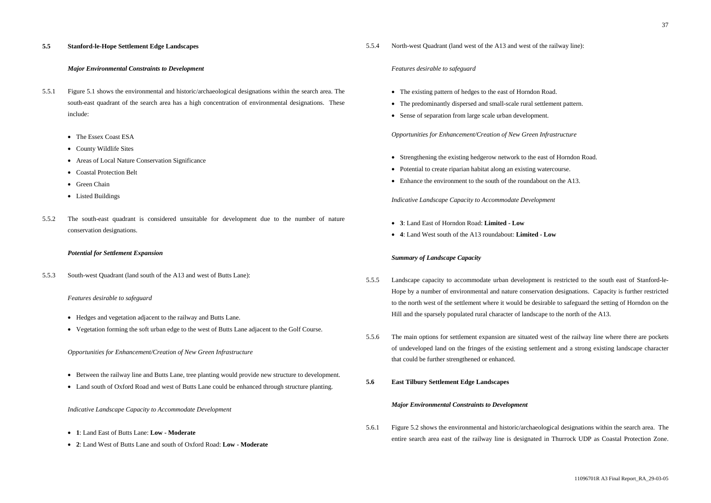# **5.5 Stanford-le-Hope Settlement Edge Landscapes**

# *Major Environmental Constraints to Development*

- 5.5.1 Figure 5.1 shows the environmental and historic/archaeological designations within the search area. The south-east quadrant of the search area has a high concentration of environmental designations. These include:
	- The Essex Coast ESA
	- County Wildlife Sites
	- Areas of Local Nature Conservation Significance
	- Coastal Protection Belt
	- Green Chain
	- Listed Buildings
- 5.5.2 The south-east quadrant is considered unsuitable for development due to the number of nature conservation designations.

- Between the railway line and Butts Lane, tree planting would provide new structure to development.
- Land south of Oxford Road and west of Butts Lane could be enhanced through structure planting.

#### *Potential for Settlement Expansion*

5.5.3 South-west Quadrant (land south of the A13 and west of Butts Lane):

#### *Features desirable to safeguard*

- The existing pattern of hedges to the east of Horndon Road.
- The predominantly dispersed and small-scale rural settlement pattern.
- Sense of separation from large scale urban development.

- Hedges and vegetation adjacent to the railway and Butts Lane.
- Vegetation forming the soft urban edge to the west of Butts Lane adjacent to the Golf Course.
- Strengthening the existing hedgerow network to the east of Horndon Road.
- Potential to create riparian habitat along an existing watercourse.
- Enhance the environment to the south of the roundabout on the A13.

*Opportunities for Enhancement/Creation of New Green Infrastructure*

*Indicative Landscape Capacity to Accommodate Development*

- **1**: Land East of Butts Lane: **Low Moderate**
- **2**: Land West of Butts Lane and south of Oxford Road: **Low Moderate**

### 5.5.4 North-west Quadrant (land west of the A13 and west of the railway line):

#### *Features desirable to safeguard*

*Opportunities for Enhancement/Creation of New Green Infrastructure*

*Indicative Landscape Capacity to Accommodate Development*

- **3**: Land East of Horndon Road: **Limited Low**
- **4**: Land West south of the A13 roundabout: **Limited Low**

#### *Summary of Landscape Capacity*

- 5.5.5 Landscape capacity to accommodate urban development is restricted to the south east of Stanford-le-Hope by a number of environmental and nature conservation designations. Capacity is further restricted to the north west of the settlement where it would be desirable to safeguard the setting of Horndon on the Hill and the sparsely populated rural character of landscape to the north of the A13.
- 5.5.6 The main options for settlement expansion are situated west of the railway line where there are pockets of undeveloped land on the fringes of the existing settlement and a strong existing landscape character that could be further strengthened or enhanced.
- **5.6 East Tilbury Settlement Edge Landscapes**

#### *Major Environmental Constraints to Development*

5.6.1 Figure 5.2 shows the environmental and historic/archaeological designations within the search area. The entire search area east of the railway line is designated in Thurrock UDP as Coastal Protection Zone.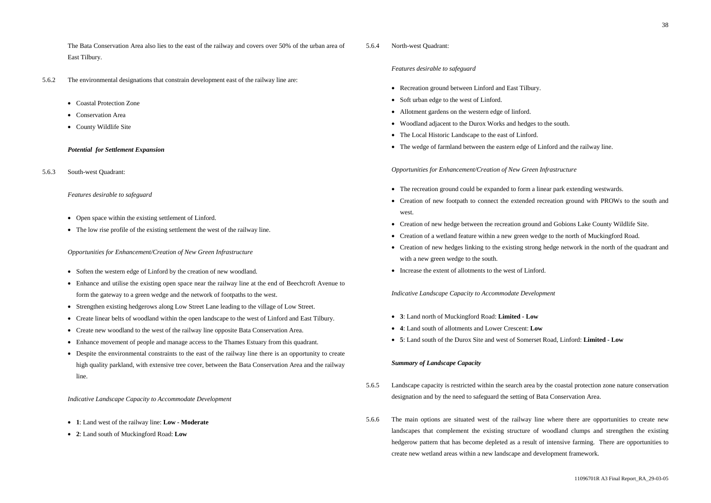The Bata Conservation Area also lies to the east of the railway and covers over 50% of the urban area of East Tilbury.

- 5.6.2 The environmental designations that constrain development east of the railway line are:
	- Coastal Protection Zone
	- Conservation Area
	- County Wildlife Site

# *Potential for Settlement Expansion*

5.6.3 South-west Quadrant:

# *Features desirable to safeguard*

- Open space within the existing settlement of Linford.
- The low rise profile of the existing settlement the west of the railway line.

# *Opportunities for Enhancement/Creation of New Green Infrastructure*

- Soften the western edge of Linford by the creation of new woodland.
- Enhance and utilise the existing open space near the railway line at the end of Beechcroft Avenue to form the gateway to a green wedge and the network of footpaths to the west.
- Strengthen existing hedgerows along Low Street Lane leading to the village of Low Street.
- Create linear belts of woodland within the open landscape to the west of Linford and East Tilbury.
- Create new woodland to the west of the railway line opposite Bata Conservation Area.
- Enhance movement of people and manage access to the Thames Estuary from this quadrant.
- Despite the environmental constraints to the east of the railway line there is an opportunity to create high quality parkland, with extensive tree cover, between the Bata Conservation Area and the railway line.

*Indicative Landscape Capacity to Accommodate Development*

- **1**: Land west of the railway line: **Low Moderate**
- **2**: Land south of Muckingford Road: **Low**

# 5.6.4 North-west Quadrant:

# *Features desirable to safeguard*

- Recreation ground between Linford and East Tilbury.
- Soft urban edge to the west of Linford.
- Allotment gardens on the western edge of linford.
- Woodland adjacent to the Durox Works and hedges to the south.
- The Local Historic Landscape to the east of Linford.
- The wedge of farmland between the eastern edge of Linford and the railway line.

*Opportunities for Enhancement/Creation of New Green Infrastructure*

- The recreation ground could be expanded to form a linear park extending westwards.
- Creation of new footpath to connect the extended recreation ground with PROWs to the south and west.
- Creation of new hedge between the recreation ground and Gobions Lake County Wildlife Site.
- Creation of a wetland feature within a new green wedge to the north of Muckingford Road.
- Creation of new hedges linking to the existing strong hedge network in the north of the quadrant and with a new green wedge to the south.
- Increase the extent of allotments to the west of Linford.

# *Indicative Landscape Capacity to Accommodate Development*

- **3**: Land north of Muckingford Road: **Limited Low**
- **4**: Land south of allotments and Lower Crescent: **Low**
- **5**: Land south of the Durox Site and west of Somerset Road, Linford: **Limited Low**

# *Summary of Landscape Capacity*

- 5.6.5 Landscape capacity is restricted within the search area by the coastal protection zone nature conservation designation and by the need to safeguard the setting of Bata Conservation Area.
- 5.6.6 The main options are situated west of the railway line where there are opportunities to create new landscapes that complement the existing structure of woodland clumps and strengthen the existing hedgerow pattern that has become depleted as a result of intensive farming. There are opportunities to create new wetland areas within a new landscape and development framework.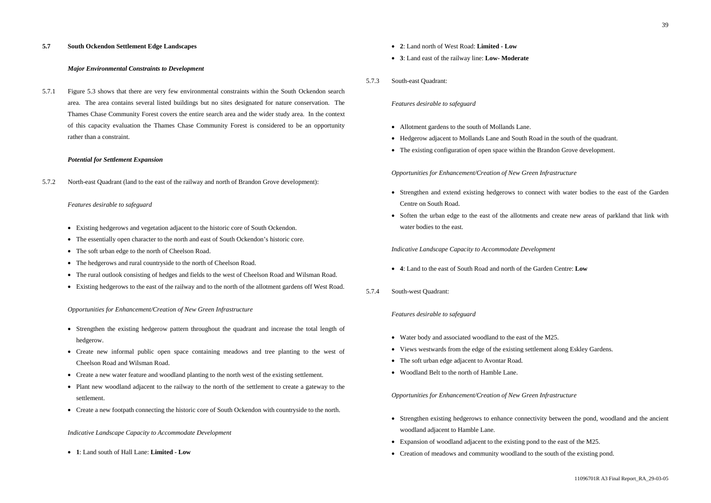#### **5.7 South Ockendon Settlement Edge Landscapes**

# *Major Environmental Constraints to Development*

5.7.1 Figure 5.3 shows that there are very few environmental constraints within the South Ockendon search area. The area contains several listed buildings but no sites designated for nature conservation. The Thames Chase Community Forest covers the entire search area and the wider study area. In the context of this capacity evaluation the Thames Chase Community Forest is considered to be an opportunity rather than a constraint.

#### *Potential for Settlement Expansion*

5.7.2 North-east Quadrant (land to the east of the railway and north of Brandon Grove development):

#### *Features desirable to safeguard*

- Strengthen the existing hedgerow pattern throughout the quadrant and increase the total length of hedgerow.
- Create new informal public open space containing meadows and tree planting to the west of Cheelson Road and Wilsman Road.
- Create a new water feature and woodland planting to the north west of the existing settlement.
- Plant new woodland adjacent to the railway to the north of the settlement to create a gateway to the settlement.
- Create a new footpath connecting the historic core of South Ockendon with countryside to the north.
- Existing hedgerows and vegetation adjacent to the historic core of South Ockendon.
- The essentially open character to the north and east of South Ockendon's historic core.
- The soft urban edge to the north of Cheelson Road.
- The hedgerows and rural countryside to the north of Cheelson Road.
- The rural outlook consisting of hedges and fields to the west of Cheelson Road and Wilsman Road.
- Existing hedgerows to the east of the railway and to the north of the allotment gardens off West Road.

#### *Opportunities for Enhancement/Creation of New Green Infrastructure*

- Water body and associated woodland to the east of the M25.
- Views westwards from the edge of the existing settlement along Eskley Gardens.
- The soft urban edge adjacent to Avontar Road.
- Woodland Belt to the north of Hamble Lane.

#### *Indicative Landscape Capacity to Accommodate Development*

• **1**: Land south of Hall Lane: **Limited - Low**

- **2**: Land north of West Road: **Limited Low**
- **3**: Land east of the railway line: **Low- Moderate**
- 5.7.3 South-east Quadrant:

#### *Features desirable to safeguard*

- Allotment gardens to the south of Mollands Lane.
- Hedgerow adjacent to Mollands Lane and South Road in the south of the quadrant.
- The existing configuration of open space within the Brandon Grove development.

#### *Opportunities for Enhancement/Creation of New Green Infrastructure*

- Strengthen and extend existing hedgerows to connect with water bodies to the east of the Garden Centre on South Road.
- Soften the urban edge to the east of the allotments and create new areas of parkland that link with water bodies to the east.

#### *Indicative Landscape Capacity to Accommodate Development*

- **4**: Land to the east of South Road and north of the Garden Centre: **Low**
- 5.7.4 South-west Quadrant:

#### *Features desirable to safeguard*

# *Opportunities for Enhancement/Creation of New Green Infrastructure*

- Strengthen existing hedgerows to enhance connectivity between the pond, woodland and the ancient woodland adjacent to Hamble Lane.
- Expansion of woodland adjacent to the existing pond to the east of the M25.
- Creation of meadows and community woodland to the south of the existing pond.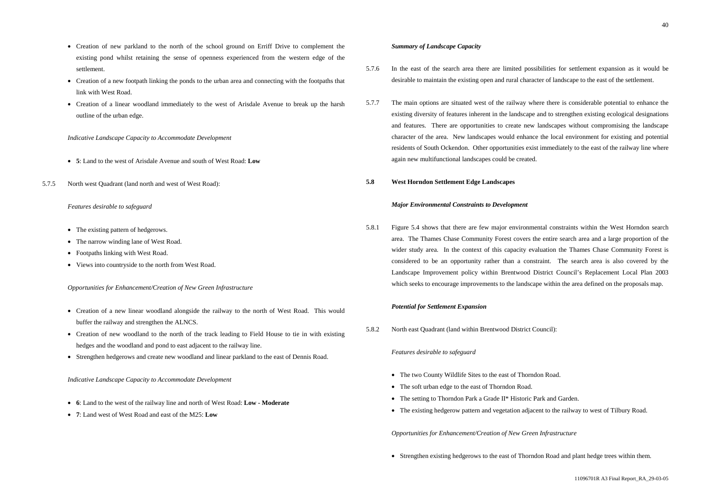- Creation of new parkland to the north of the school ground on Erriff Drive to complement the existing pond whilst retaining the sense of openness experienced from the western edge of the settlement.
- Creation of a new footpath linking the ponds to the urban area and connecting with the footpaths that link with West Road.
- Creation of a linear woodland immediately to the west of Arisdale Avenue to break up the harsh outline of the urban edge.

- The existing pattern of hedgerows.
- The narrow winding lane of West Road.
- Footpaths linking with West Road.
- Views into countryside to the north from West Road.

- **5**: Land to the west of Arisdale Avenue and south of West Road: **Low**
- 5.7.5 North west Quadrant (land north and west of West Road):

### *Features desirable to safeguard*

# *Opportunities for Enhancement/Creation of New Green Infrastructure*

- Creation of a new linear woodland alongside the railway to the north of West Road. This would buffer the railway and strengthen the ALNCS.
- Creation of new woodland to the north of the track leading to Field House to tie in with existing hedges and the woodland and pond to east adjacent to the railway line.
- Strengthen hedgerows and create new woodland and linear parkland to the east of Dennis Road.

# *Indicative Landscape Capacity to Accommodate Development*

- **6**: Land to the west of the railway line and north of West Road: **Low Moderate**
- **7**: Land west of West Road and east of the M25: **Low**

# *Summary of Landscape Capacity*

- The two County Wildlife Sites to the east of Thorndon Road.
- The soft urban edge to the east of Thorndon Road.
- The setting to Thorndon Park a Grade II<sup>\*</sup> Historic Park and Garden.
- The existing hedgerow pattern and vegetation adjacent to the railway to west of Tilbury Road.
- 5.7.6 In the east of the search area there are limited possibilities for settlement expansion as it would be desirable to maintain the existing open and rural character of landscape to the east of the settlement.
- 5.7.7 The main options are situated west of the railway where there is considerable potential to enhance the existing diversity of features inherent in the landscape and to strengthen existing ecological designations and features. There are opportunities to create new landscapes without compromising the landscape character of the area. New landscapes would enhance the local environment for existing and potential residents of South Ockendon. Other opportunities exist immediately to the east of the railway line where again new multifunctional landscapes could be created.

# **5.8 West Horndon Settlement Edge Landscapes**

# *Major Environmental Constraints to Development*

5.8.1 Figure 5.4 shows that there are few major environmental constraints within the West Horndon search area. The Thames Chase Community Forest covers the entire search area and a large proportion of the wider study area. In the context of this capacity evaluation the Thames Chase Community Forest is considered to be an opportunity rather than a constraint. The search area is also covered by the Landscape Improvement policy within Brentwood District Council's Replacement Local Plan 2003 which seeks to encourage improvements to the landscape within the area defined on the proposals map.

# *Potential for Settlement Expansion*

5.8.2 North east Quadrant (land within Brentwood District Council):

# *Features desirable to safeguard*

*Opportunities for Enhancement/Creation of New Green Infrastructure*

• Strengthen existing hedgerows to the east of Thorndon Road and plant hedge trees within them.

11096701R A3 Final Report\_RA\_29-03-05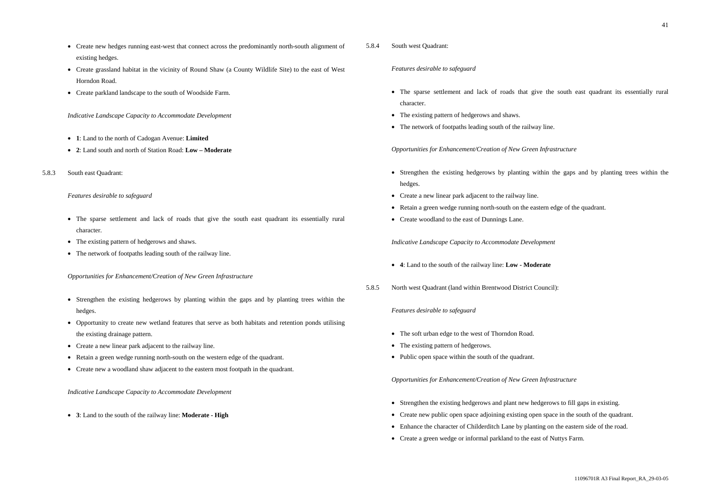- Create new hedges running east-west that connect across the predominantly north-south alignment of existing hedges.
- Create grassland habitat in the vicinity of Round Shaw (a County Wildlife Site) to the east of West Horndon Road.
- Create parkland landscape to the south of Woodside Farm.

- The sparse settlement and lack of roads that give the south east quadrant its essentially rural character.
- The existing pattern of hedgerows and shaws.
- The network of footpaths leading south of the railway line.
- **1**: Land to the north of Cadogan Avenue: **Limited**
- **2**: Land south and north of Station Road: **Low Moderate**
- 5.8.3 South east Quadrant:

# *Features desirable to safeguard*

# *Opportunities for Enhancement/Creation of New Green Infrastructure*

- The sparse settlement and lack of roads that give the south east quadrant its essentially rural character.
- The existing pattern of hedgerows and shaws.
- The network of footpaths leading south of the railway line.

- Strengthen the existing hedgerows by planting within the gaps and by planting trees within the hedges.
- Opportunity to create new wetland features that serve as both habitats and retention ponds utilising the existing drainage pattern.
- Create a new linear park adjacent to the railway line.
- Retain a green wedge running north-south on the western edge of the quadrant.
- Create new a woodland shaw adjacent to the eastern most footpath in the quadrant.

# *Indicative Landscape Capacity to Accommodate Development*

• **3**: Land to the south of the railway line: **Moderate - High**

# 5.8.4 South west Quadrant:

# *Features desirable to safeguard*

# *Opportunities for Enhancement/Creation of New Green Infrastructure*

- Strengthen the existing hedgerows by planting within the gaps and by planting trees within the hedges.
- Create a new linear park adjacent to the railway line.
- Retain a green wedge running north-south on the eastern edge of the quadrant.
- Create woodland to the east of Dunnings Lane.

# *Indicative Landscape Capacity to Accommodate Development*

- **4**: Land to the south of the railway line: **Low Moderate**
- 5.8.5 North west Quadrant (land within Brentwood District Council):

# *Features desirable to safeguard*

- The soft urban edge to the west of Thorndon Road.
- The existing pattern of hedgerows.
- Public open space within the south of the quadrant.

# *Opportunities for Enhancement/Creation of New Green Infrastructure*

- Strengthen the existing hedgerows and plant new hedgerows to fill gaps in existing.
- Create new public open space adjoining existing open space in the south of the quadrant.
- Enhance the character of Childerditch Lane by planting on the eastern side of the road.
- Create a green wedge or informal parkland to the east of Nuttys Farm.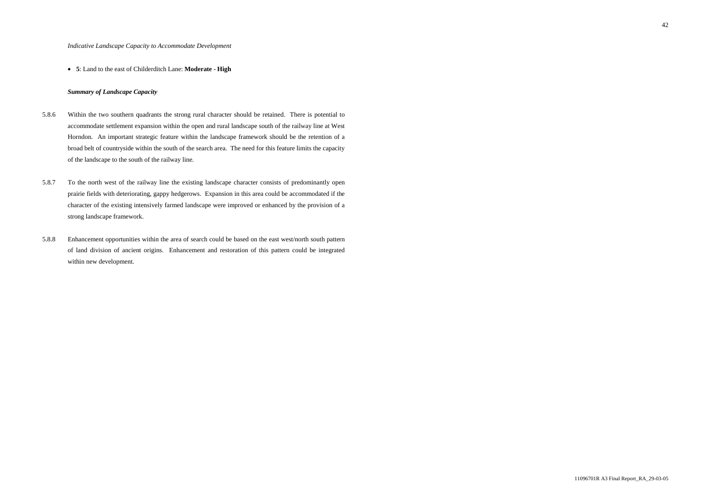### • **5**: Land to the east of Childerditch Lane: **Moderate - High**

## *Summary of Landscape Capacity*

- 5.8.6 Within the two southern quadrants the strong rural character should be retained. There is potential to accommodate settlement expansion within the open and rural landscape south of the railway line at West Horndon. An important strategic feature within the landscape framework should be the retention of a broad belt of countryside within the south of the search area. The need for this feature limits the capacity of the landscape to the south of the railway line.
- 5.8.7 To the north west of the railway line the existing landscape character consists of predominantly open prairie fields with deteriorating, gappy hedgerows. Expansion in this area could be accommodated if the character of the existing intensively farmed landscape were improved or enhanced by the provision of a strong landscape framework.
- 5.8.8 Enhancement opportunities within the area of search could be based on the east west/north south pattern of land division of ancient origins. Enhancement and restoration of this pattern could be integrated within new development.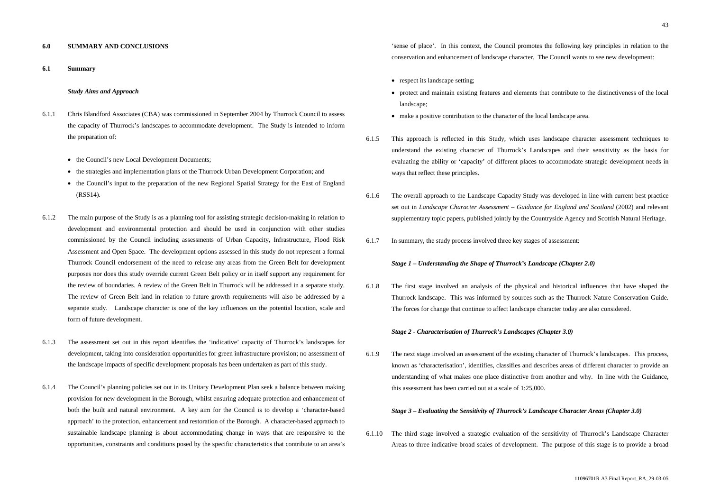### **6.0 SUMMARY AND CONCLUSIONS**

**6.1 Summary**

#### *Study Aims and Approach*

- 6.1.1 Chris Blandford Associates (CBA) was commissioned in September 2004 by Thurrock Council to assess the capacity of Thurrock's landscapes to accommodate development. The Study is intended to inform the preparation of:
	- the Council's new Local Development Documents;
	- the strategies and implementation plans of the Thurrock Urban Development Corporation; and
	- the Council's input to the preparation of the new Regional Spatial Strategy for the East of England (RSS14).
- 6.1.2 The main purpose of the Study is as a planning tool for assisting strategic decision-making in relation to development and environmental protection and should be used in conjunction with other studies commissioned by the Council including assessments of Urban Capacity, Infrastructure, Flood Risk Assessment and Open Space. The development options assessed in this study do not represent a formal Thurrock Council endorsement of the need to release any areas from the Green Belt for development purposes nor does this study override current Green Belt policy or in itself support any requirement for the review of boundaries. A review of the Green Belt in Thurrock will be addressed in a separate study. The review of Green Belt land in relation to future growth requirements will also be addressed by a separate study. Landscape character is one of the key influences on the potential location, scale and form of future development.
- 6.1.3 The assessment set out in this report identifies the 'indicative' capacity of Thurrock's landscapes for development, taking into consideration opportunities for green infrastructure provision; no assessment of the landscape impacts of specific development proposals has been undertaken as part of this study.
- 6.1.4 The Council's planning policies set out in its Unitary Development Plan seek a balance between making provision for new development in the Borough, whilst ensuring adequate protection and enhancement of both the built and natural environment. A key aim for the Council is to develop a 'character-based approach' to the protection, enhancement and restoration of the Borough. A character-based approach to sustainable landscape planning is about accommodating change in ways that are responsive to the opportunities, constraints and conditions posed by the specific characteristics that contribute to an area's
- respect its landscape setting;
- landscape;
- make a positive contribution to the character of the local landscape area.
- 6.1.5 This approach is reflected in this Study, which uses landscape character assessment techniques to understand the existing character of Thurrock's Landscapes and their sensitivity as the basis for evaluating the ability or 'capacity' of different places to accommodate strategic development needs in ways that reflect these principles.
- 6.1.6 The overall approach to the Landscape Capacity Study was developed in line with current best practice set out in *Landscape Character Assessment – Guidance for England and Scotland* (2002) and relevant supplementary topic papers, published jointly by the Countryside Agency and Scottish Natural Heritage.
- 6.1.7 In summary, the study process involved three key stages of assessment:

'sense of place'. In this context, the Council promotes the following key principles in relation to the conservation and enhancement of landscape character. The Council wants to see new development:

• protect and maintain existing features and elements that contribute to the distinctiveness of the local

#### *Stage 1 – Understanding the Shape of Thurrock's Landscape (Chapter 2.0)*

6.1.8 The first stage involved an analysis of the physical and historical influences that have shaped the Thurrock landscape. This was informed by sources such as the Thurrock Nature Conservation Guide. The forces for change that continue to affect landscape character today are also considered.

#### *Stage 2 - Characterisation of Thurrock's Landscapes (Chapter 3.0)*

6.1.9 The next stage involved an assessment of the existing character of Thurrock's landscapes. This process, known as 'characterisation', identifies, classifies and describes areas of different character to provide an understanding of what makes one place distinctive from another and why. In line with the Guidance, this assessment has been carried out at a scale of 1:25,000.

# *Stage 3 – Evaluating the Sensitivity of Thurrock's Landscape Character Areas (Chapter 3.0)*

6.1.10 The third stage involved a strategic evaluation of the sensitivity of Thurrock's Landscape Character Areas to three indicative broad scales of development. The purpose of this stage is to provide a broad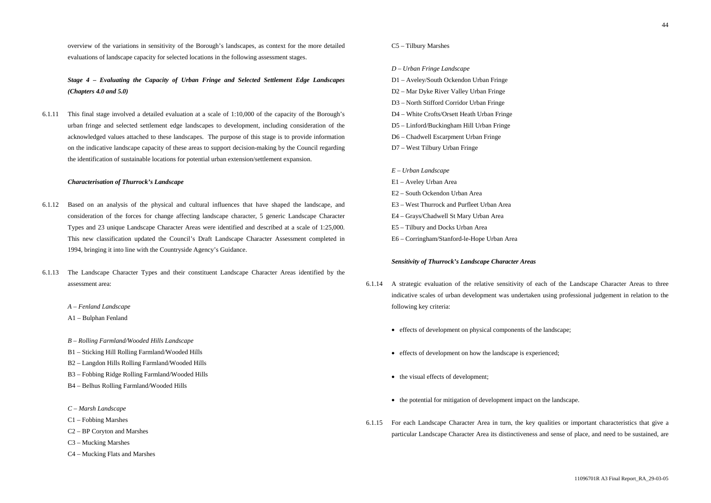overview of the variations in sensitivity of the Borough's landscapes, as context for the more detailed evaluations of landscape capacity for selected locations in the following assessment stages.

*Stage 4 – Evaluating the Capacity of Urban Fringe and Selected Settlement Edge Landscapes (Chapters 4.0 and 5.0)*

6.1.11 This final stage involved a detailed evaluation at a scale of 1:10,000 of the capacity of the Borough's urban fringe and selected settlement edge landscapes to development, including consideration of the acknowledged values attached to these landscapes. The purpose of this stage is to provide information on the indicative landscape capacity of these areas to support decision-making by the Council regarding the identification of sustainable locations for potential urban extension/settlement expansion.

### *Characterisation of Thurrock's Landscape*

- 6.1.12 Based on an analysis of the physical and cultural influences that have shaped the landscape, and consideration of the forces for change affecting landscape character, 5 generic Landscape Character Types and 23 unique Landscape Character Areas were identified and described at a scale of 1:25,000. This new classification updated the Council's Draft Landscape Character Assessment completed in 1994, bringing it into line with the Countryside Agency's Guidance.
- 6.1.13 The Landscape Character Types and their constituent Landscape Character Areas identified by the assessment area:
	- *A Fenland Landscape*
	- A1 Bulphan Fenland
	- *B Rolling Farmland/Wooded Hills Landscape*
	- B1 Sticking Hill Rolling Farmland/Wooded Hills
	- B2 Langdon Hills Rolling Farmland/Wooded Hills
	- B3 Fobbing Ridge Rolling Farmland/Wooded Hills
	- B4 Belhus Rolling Farmland/Wooded Hills
	- *C Marsh Landscape*
	- C1 Fobbing Marshes
	- C2 BP Coryton and Marshes
	- C3 Mucking Marshes
	- C4 Mucking Flats and Marshes

# C5 – Tilbury Marshes

#### *D – Urban Fringe Landscape*

- D1 Aveley/South Ockendon Urban Fringe
- D2 Mar Dyke River Valley Urban Fringe
- D3 North Stifford Corridor Urban Fringe
- D4 White Crofts/Orsett Heath Urban Fringe
- D5 Linford/Buckingham Hill Urban Fringe
- D6 Chadwell Escarpment Urban Fringe
- D7 West Tilbury Urban Fringe

# *E – Urban Landscape*

- E1 Aveley Urban Area
- E2 South Ockendon Urban Area
- E3 West Thurrock and Purfleet Urban Area
- E4 Grays/Chadwell St Mary Urban Area
- E5 Tilbury and Docks Urban Area
- E6 Corringham/Stanford-le-Hope Urban Area

# *Sensitivity of Thurrock's Landscape Character Areas*

- 6.1.14 A strategic evaluation of the relative sensitivity of each of the Landscape Character Areas to three indicative scales of urban development was undertaken using professional judgement in relation to the following key criteria:
	- effects of development on physical components of the landscape;
	- effects of development on how the landscape is experienced;
	- the visual effects of development;
	- the potential for mitigation of development impact on the landscape.
- 6.1.15 For each Landscape Character Area in turn, the key qualities or important characteristics that give a particular Landscape Character Area its distinctiveness and sense of place, and need to be sustained, are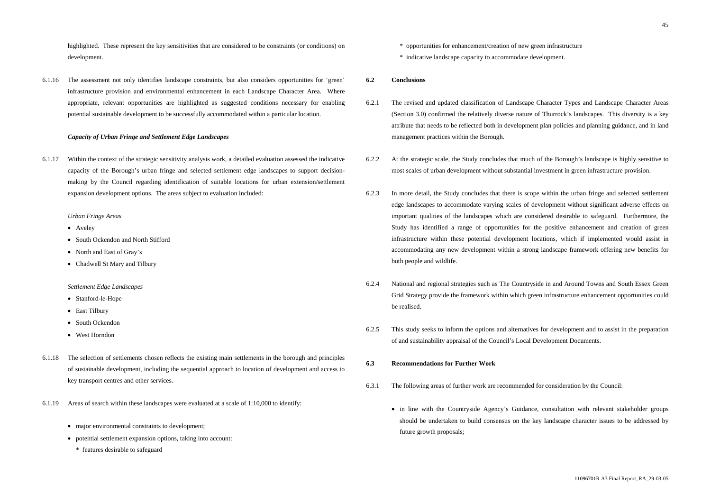highlighted. These represent the key sensitivities that are considered to be constraints (or conditions) on development.

6.1.16 The assessment not only identifies landscape constraints, but also considers opportunities for 'green' infrastructure provision and environmental enhancement in each Landscape Character Area. Where appropriate, relevant opportunities are highlighted as suggested conditions necessary for enabling potential sustainable development to be successfully accommodated within a particular location.

#### *Capacity of Urban Fringe and Settlement Edge Landscapes*

6.1.17 Within the context of the strategic sensitivity analysis work, a detailed evaluation assessed the indicative capacity of the Borough's urban fringe and selected settlement edge landscapes to support decisionmaking by the Council regarding identification of suitable locations for urban extension/settlement expansion development options. The areas subject to evaluation included:

- Stanford-le-Hope
- East Tilbury
- South Ockendon
- West Horndon
- 6.1.18 The selection of settlements chosen reflects the existing main settlements in the borough and principles of sustainable development, including the sequential approach to location of development and access to key transport centres and other services.
- 6.1.19 Areas of search within these landscapes were evaluated at a scale of 1:10,000 to identify:
	- major environmental constraints to development;
	- potential settlement expansion options, taking into account:
		- \* features desirable to safeguard

#### *Urban Fringe Areas*

- Aveley
- South Ockendon and North Stifford
- North and East of Gray's
- Chadwell St Mary and Tilbury

#### *Settlement Edge Landscapes*

- \* opportunities for enhancement/creation of new green infrastructure
- \* indicative landscape capacity to accommodate development.

#### **6.2 Conclusions**

- 6.2.1 The revised and updated classification of Landscape Character Types and Landscape Character Areas (Section 3.0) confirmed the relatively diverse nature of Thurrock's landscapes. This diversity is a key attribute that needs to be reflected both in development plan policies and planning guidance, and in land management practices within the Borough.
- 6.2.2 At the strategic scale, the Study concludes that much of the Borough's landscape is highly sensitive to most scales of urban development without substantial investment in green infrastructure provision.
- 6.2.3 In more detail, the Study concludes that there is scope within the urban fringe and selected settlement edge landscapes to accommodate varying scales of development without significant adverse effects on important qualities of the landscapes which are considered desirable to safeguard. Furthermore, the Study has identified a range of opportunities for the positive enhancement and creation of green infrastructure within these potential development locations, which if implemented would assist in accommodating any new development within a strong landscape framework offering new benefits for both people and wildlife.
- Grid Strategy provide the framework within which green infrastructure enhancement opportunities could be realised.
- 6.2.5 This study seeks to inform the options and alternatives for development and to assist in the preparation of and sustainability appraisal of the Council's Local Development Documents.

6.2.4 National and regional strategies such as The Countryside in and Around Towns and South Essex Green

#### **6.3 Recommendations for Further Work**

• in line with the Countryside Agency's Guidance, consultation with relevant stakeholder groups

- 6.3.1 The following areas of further work are recommended for consideration by the Council:
	- should be undertaken to build consensus on the key landscape character issues to be addressed by future growth proposals;